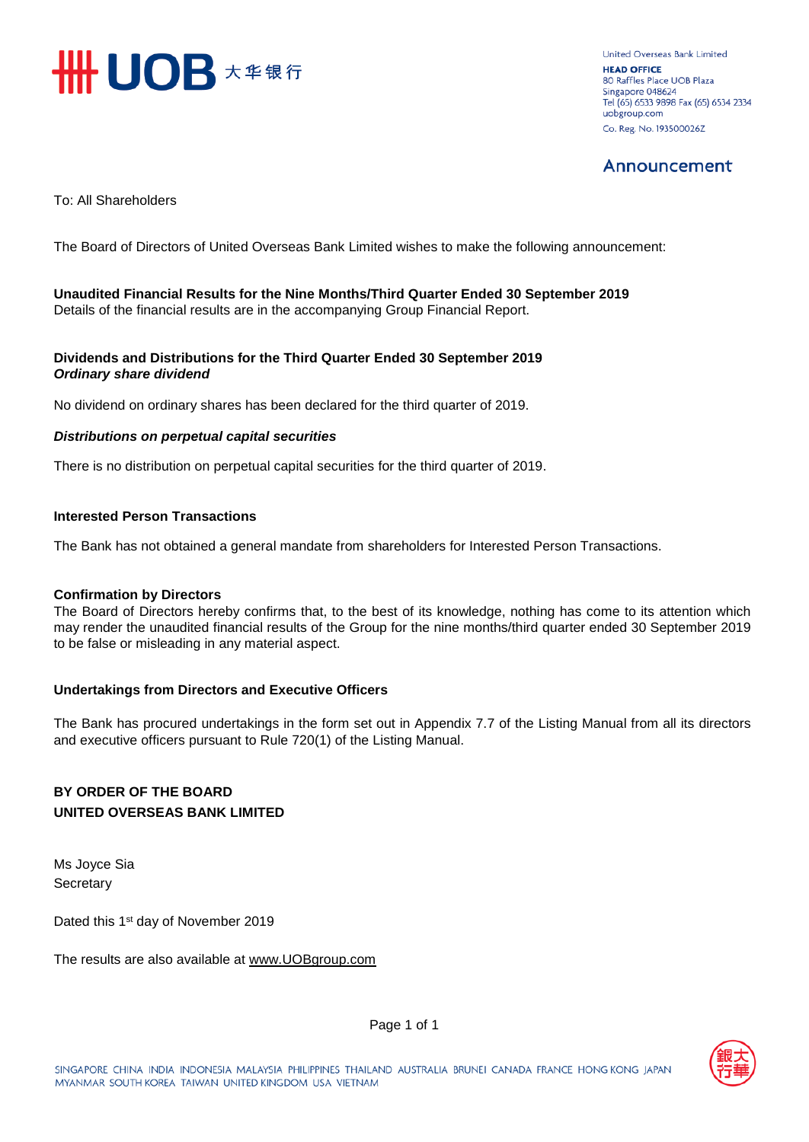

United Overseas Bank Limited **HEAD OFFICE** 80 Raffles Place UOB Plaza Singapore 048624 Tel (65) 6533 9898 Fax (65) 6534 2334 uobgroup.com Co. Reg. No. 193500026Z

## Announcement

To: All Shareholders

The Board of Directors of United Overseas Bank Limited wishes to make the following announcement:

**Unaudited Financial Results for the Nine Months/Third Quarter Ended 30 September 2019** Details of the financial results are in the accompanying Group Financial Report.

### **Dividends and Distributions for the Third Quarter Ended 30 September 2019** *Ordinary share dividend*

No dividend on ordinary shares has been declared for the third quarter of 2019.

### *Distributions on perpetual capital securities*

There is no distribution on perpetual capital securities for the third quarter of 2019.

### **Interested Person Transactions**

The Bank has not obtained a general mandate from shareholders for Interested Person Transactions.

#### **Confirmation by Directors**

The Board of Directors hereby confirms that, to the best of its knowledge, nothing has come to its attention which may render the unaudited financial results of the Group for the nine months/third quarter ended 30 September 2019 to be false or misleading in any material aspect.

## **Undertakings from Directors and Executive Officers**

The Bank has procured undertakings in the form set out in Appendix 7.7 of the Listing Manual from all its directors and executive officers pursuant to Rule 720(1) of the Listing Manual.

## **BY ORDER OF THE BOARD UNITED OVERSEAS BANK LIMITED**

Ms Joyce Sia **Secretary** 

Dated this 1<sup>st</sup> day of November 2019

The results are also available at www.UOB[group.com](http://www.uobgroup.com/)



Page 1 of 1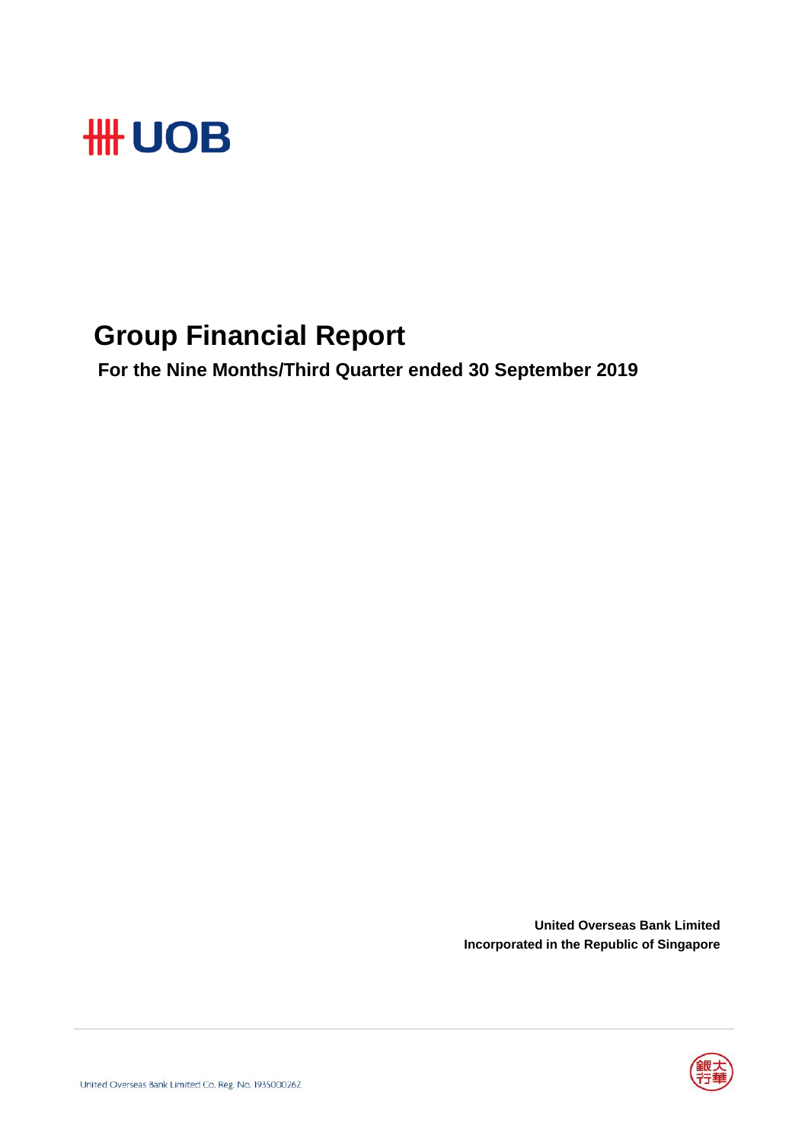

## **Group Financial Report**

 **For the Nine Months/Third Quarter ended 30 September 2019**

**United Overseas Bank Limited Incorporated in the Republic of Singapore**

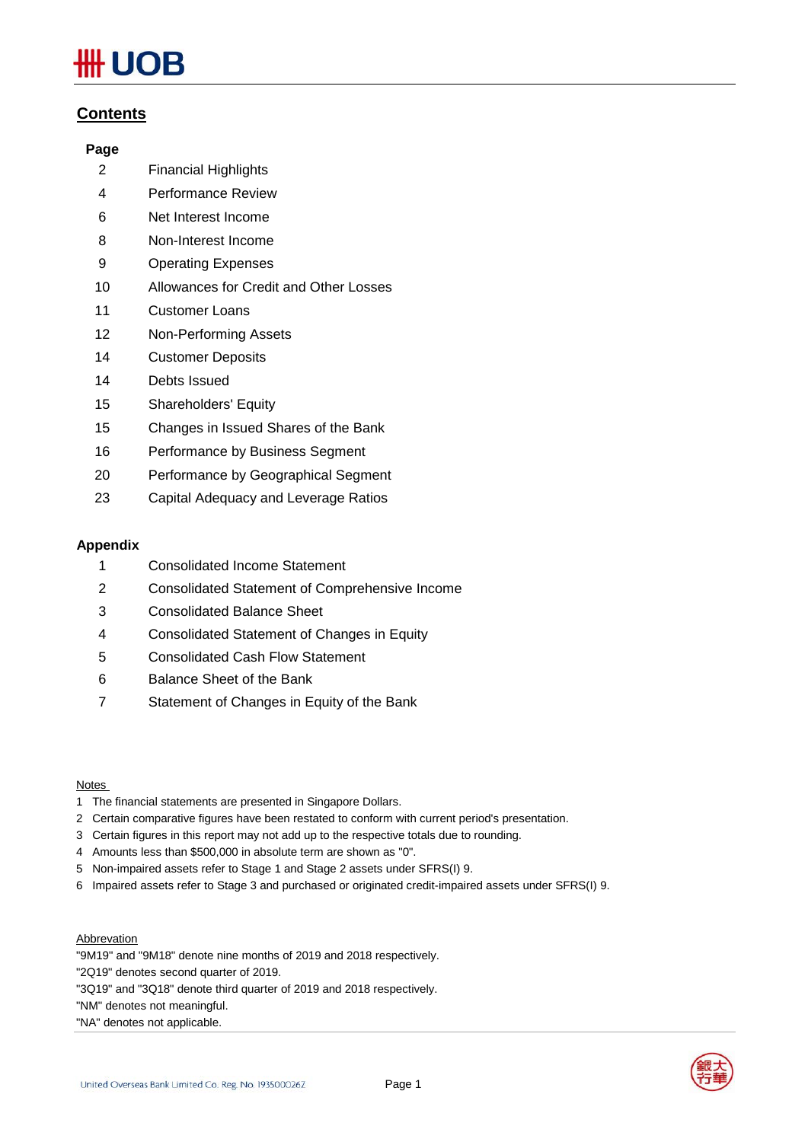# **IOB**

## **Contents**

## **Page**

- 2 Financial Highlights
- 4 Performance Review
- 6 Net Interest Income
- 8 Non-Interest Income
- 9 Operating Expenses
- 10 Allowances for Credit and Other Losses
- 11 Customer Loans
- 12 Non-Performing Assets
- 14 Customer Deposits
- 14 Debts Issued
- 15 Shareholders' Equity
- 15 Changes in Issued Shares of the Bank
- 16 Performance by Business Segment
- 20 Performance by Geographical Segment
- 23 Capital Adequacy and Leverage Ratios

## **Appendix**

- 1 Consolidated Income Statement
- 2 Consolidated Statement of Comprehensive Income
- 3 Consolidated Balance Sheet
- 4 Consolidated Statement of Changes in Equity
- 5 Consolidated Cash Flow Statement
- 6 Balance Sheet of the Bank
- 7 Statement of Changes in Equity of the Bank

#### Notes

- 1 The financial statements are presented in Singapore Dollars.
- 2 Certain comparative figures have been restated to conform with current period's presentation.
- 3 Certain figures in this report may not add up to the respective totals due to rounding.
- 4 Amounts less than \$500,000 in absolute term are shown as "0".
- 5 Non-impaired assets refer to Stage 1 and Stage 2 assets under SFRS(I) 9.
- 6 Impaired assets refer to Stage 3 and purchased or originated credit-impaired assets under SFRS(I) 9.

#### **Abbrevation**

"9M19" and "9M18" denote nine months of 2019 and 2018 respectively.

- "2Q19" denotes second quarter of 2019.
- "3Q19" and "3Q18" denote third quarter of 2019 and 2018 respectively.

"NM" denotes not meaningful.

"NA" denotes not applicable.



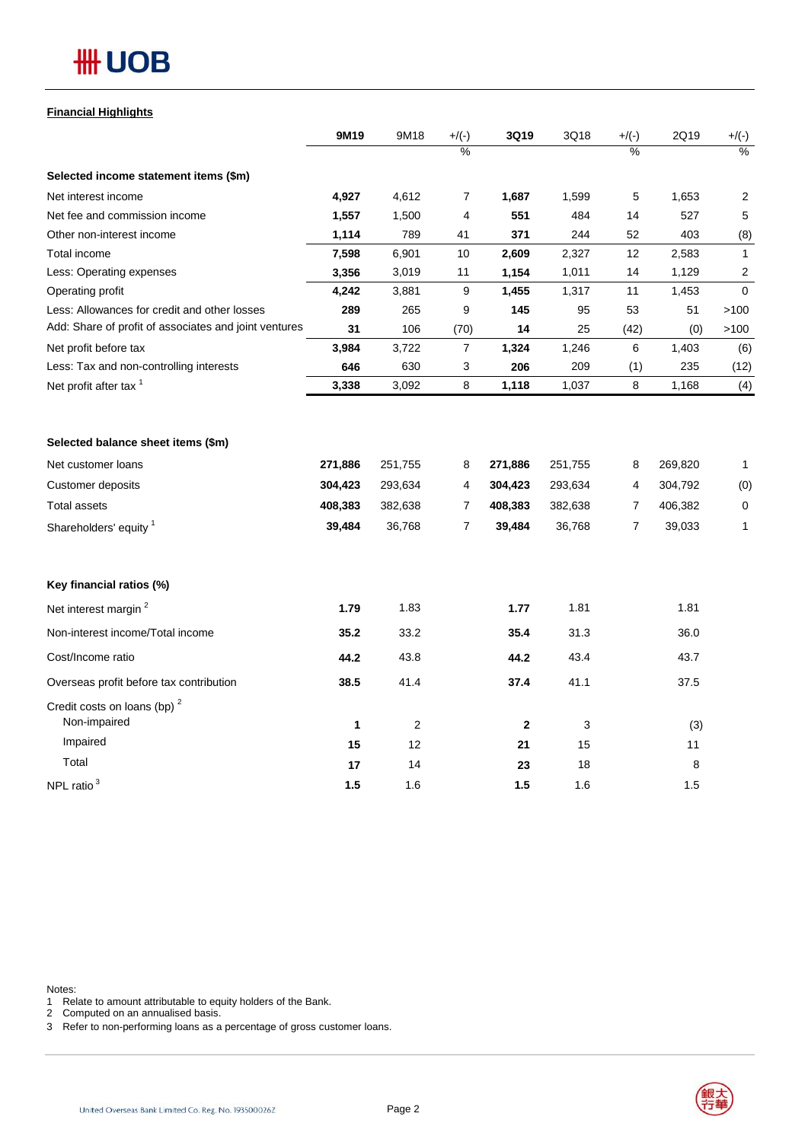## **#H UOB**

## **Financial Highlights**

|                                                       | 9M19    | 9M18       | $+/(-)$        | 3Q19        | 3Q18    | $+/(-)$ | 2Q19    | $+/(-)$      |
|-------------------------------------------------------|---------|------------|----------------|-------------|---------|---------|---------|--------------|
|                                                       |         |            | $\frac{0}{2}$  |             |         | %       |         | %            |
| Selected income statement items (\$m)                 |         |            |                |             |         |         |         |              |
| Net interest income                                   | 4,927   | 4,612      | 7              | 1,687       | 1,599   | 5       | 1,653   | 2            |
| Net fee and commission income                         | 1,557   | 1,500      | 4              | 551         | 484     | 14      | 527     | 5            |
| Other non-interest income                             | 1,114   | 789        | 41             | 371         | 244     | 52      | 403     | (8)          |
| Total income                                          | 7,598   | 6,901      | 10             | 2,609       | 2,327   | 12      | 2,583   | $\mathbf{1}$ |
| Less: Operating expenses                              | 3,356   | 3,019      | 11             | 1,154       | 1,011   | 14      | 1,129   | 2            |
| Operating profit                                      | 4,242   | 3,881      | 9              | 1,455       | 1,317   | 11      | 1,453   | $\mathbf 0$  |
| Less: Allowances for credit and other losses          | 289     | 265        | 9              | 145         | 95      | 53      | 51      | >100         |
| Add: Share of profit of associates and joint ventures | 31      | 106        | (70)           | 14          | 25      | (42)    | (0)     | >100         |
| Net profit before tax                                 | 3,984   | 3,722      | 7              | 1,324       | 1,246   | 6       | 1,403   | (6)          |
| Less: Tax and non-controlling interests               | 646     | 630        | 3              | 206         | 209     | (1)     | 235     | (12)         |
| Net profit after tax <sup>1</sup>                     | 3,338   | 3,092      | 8              | 1,118       | 1,037   | 8       | 1,168   | (4)          |
| Selected balance sheet items (\$m)                    |         |            |                |             |         |         |         |              |
| Net customer loans                                    | 271,886 | 251,755    | 8              | 271,886     | 251,755 | 8       | 269,820 | 1            |
| Customer deposits                                     | 304,423 | 293,634    | 4              | 304,423     | 293,634 | 4       | 304,792 | (0)          |
| <b>Total assets</b>                                   | 408,383 | 382,638    | 7              | 408,383     | 382,638 | 7       | 406,382 | $\mathbf 0$  |
| Shareholders' equity <sup>1</sup>                     | 39,484  | 36,768     | $\overline{7}$ | 39,484      | 36,768  | 7       | 39,033  | 1            |
|                                                       |         |            |                |             |         |         |         |              |
| Key financial ratios (%)                              |         |            |                |             |         |         |         |              |
| Net interest margin <sup>2</sup>                      | 1.79    | 1.83       |                | 1.77        | 1.81    |         | 1.81    |              |
| Non-interest income/Total income                      | 35.2    | 33.2       |                | 35.4        | 31.3    |         | 36.0    |              |
| Cost/Income ratio                                     | 44.2    | 43.8       |                | 44.2        | 43.4    |         | 43.7    |              |
| Overseas profit before tax contribution               | 38.5    | 41.4       |                | 37.4        | 41.1    |         | 37.5    |              |
| Credit costs on loans (bp) $2$<br>Non-impaired        | 1       | $\sqrt{2}$ |                | $\mathbf 2$ | 3       |         | (3)     |              |
| Impaired                                              | 15      | 12         |                | 21          | 15      |         | 11      |              |
| Total                                                 | 17      | 14         |                | 23          | 18      |         | 8       |              |
| NPL ratio <sup>3</sup>                                | 1.5     |            |                | 1.5         | 1.6     |         | 1.5     |              |
|                                                       |         | 1.6        |                |             |         |         |         |              |

Notes:

1 Relate to amount attributable to equity holders of the Bank.

2 Computed on an annualised basis.

3 Refer to non-performing loans as a percentage of gross customer loans.

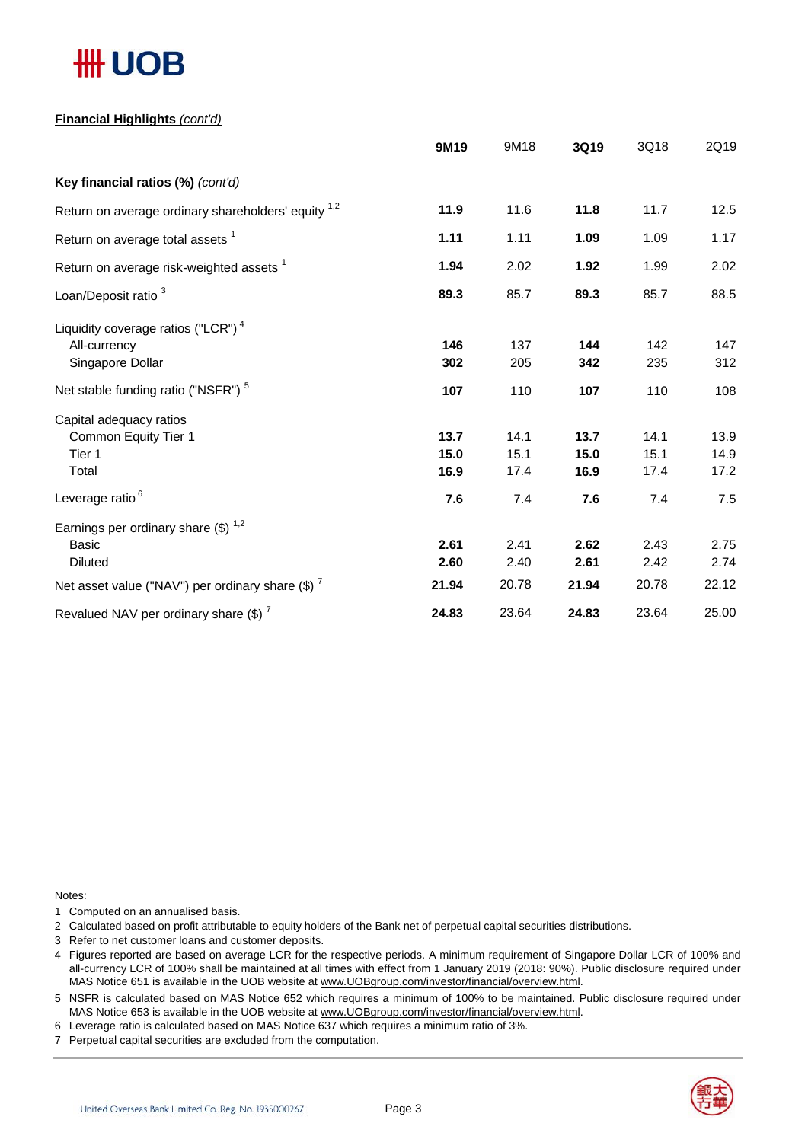# **## UOB**

### **Financial Highlights** *(cont'd)*

|                                                                | 9M19  | 9M18  | 3Q19  | 3Q18  | 2Q19  |
|----------------------------------------------------------------|-------|-------|-------|-------|-------|
| Key financial ratios (%) (cont'd)                              |       |       |       |       |       |
| Return on average ordinary shareholders' equity <sup>1,2</sup> | 11.9  | 11.6  | 11.8  | 11.7  | 12.5  |
| Return on average total assets <sup>1</sup>                    | 1.11  | 1.11  | 1.09  | 1.09  | 1.17  |
| Return on average risk-weighted assets <sup>1</sup>            | 1.94  | 2.02  | 1.92  | 1.99  | 2.02  |
| Loan/Deposit ratio <sup>3</sup>                                | 89.3  | 85.7  | 89.3  | 85.7  | 88.5  |
| Liquidity coverage ratios ("LCR") <sup>4</sup>                 |       |       |       |       |       |
| All-currency                                                   | 146   | 137   | 144   | 142   | 147   |
| Singapore Dollar                                               | 302   | 205   | 342   | 235   | 312   |
| Net stable funding ratio ("NSFR") <sup>5</sup>                 | 107   | 110   | 107   | 110   | 108   |
| Capital adequacy ratios                                        |       |       |       |       |       |
| Common Equity Tier 1                                           | 13.7  | 14.1  | 13.7  | 14.1  | 13.9  |
| Tier 1                                                         | 15.0  | 15.1  | 15.0  | 15.1  | 14.9  |
| Total                                                          | 16.9  | 17.4  | 16.9  | 17.4  | 17.2  |
| Leverage ratio <sup>6</sup>                                    | 7.6   | 7.4   | 7.6   | 7.4   | 7.5   |
| Earnings per ordinary share $(\$)^{1,2}$                       |       |       |       |       |       |
| <b>Basic</b>                                                   | 2.61  | 2.41  | 2.62  | 2.43  | 2.75  |
| <b>Diluted</b>                                                 | 2.60  | 2.40  | 2.61  | 2.42  | 2.74  |
| Net asset value ("NAV") per ordinary share $(\$)$ $^7$         | 21.94 | 20.78 | 21.94 | 20.78 | 22.12 |
| Revalued NAV per ordinary share $(\$)^7$                       | 24.83 | 23.64 | 24.83 | 23.64 | 25.00 |

Notes:

1 Computed on an annualised basis.

2 Calculated based on profit attributable to equity holders of the Bank net of perpetual capital securities distributions.

- 3 Refer to net customer loans and customer deposits.
- 4 Figures reported are based on average LCR for the respective periods. A minimum requirement of Singapore Dollar LCR of 100% and all-currency LCR of 100% shall be maintained at all times with effect from 1 January 2019 (2018: 90%). Public disclosure required under MAS Notice 651 is available in the UOB website at www.UOBgroup.com/investor/financial/overview.html.

5 NSFR is calculated based on MAS Notice 652 which requires a minimum of 100% to be maintained. Public disclosure required under MAS Notice 653 is available in the UOB website at www.UOBgroup.com/investor/financial/overview.html.

6 Leverage ratio is calculated based on MAS Notice 637 which requires a minimum ratio of 3%.

7 Perpetual capital securities are excluded from the computation.

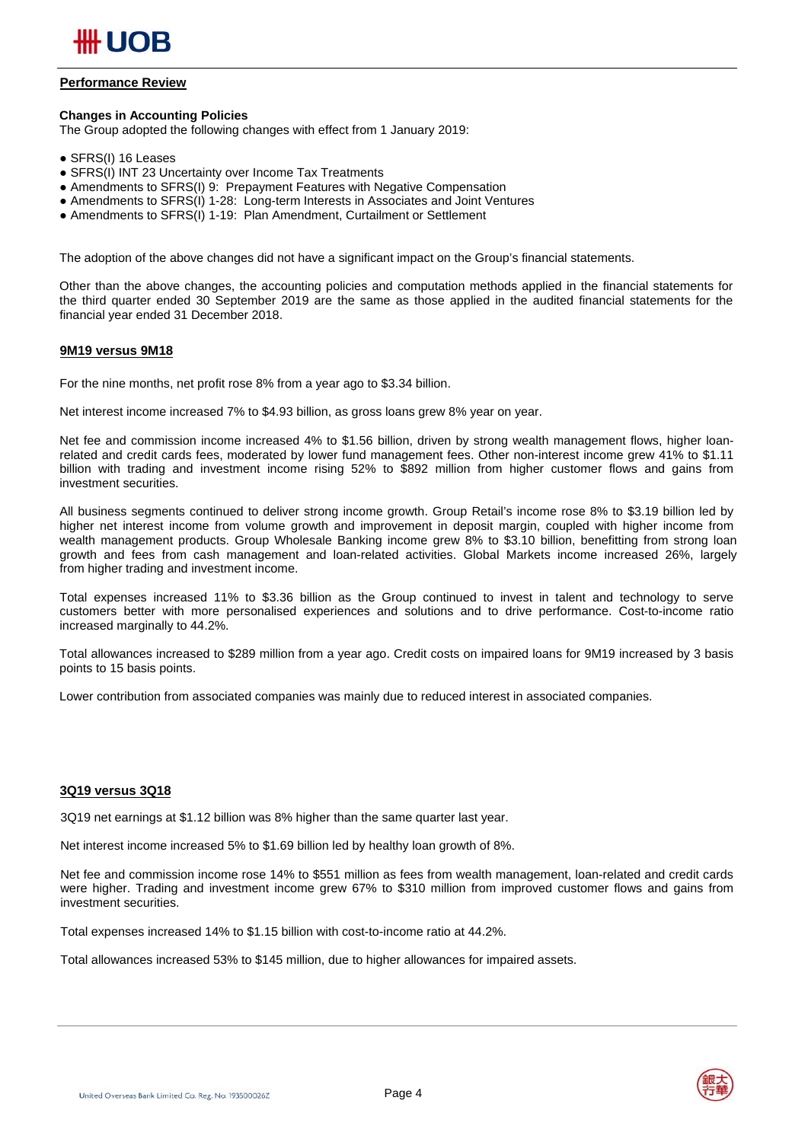

#### **Performance Review**

#### **Changes in Accounting Policies**

The Group adopted the following changes with effect from 1 January 2019:

- SFRS(I) 16 Leases
- SFRS(I) INT 23 Uncertainty over Income Tax Treatments
- Amendments to SFRS(I) 9: Prepayment Features with Negative Compensation
- Amendments to SFRS(I) 1-28: Long-term Interests in Associates and Joint Ventures
- Amendments to SFRS(I) 1-19: Plan Amendment, Curtailment or Settlement

The adoption of the above changes did not have a significant impact on the Group's financial statements.

Other than the above changes, the accounting policies and computation methods applied in the financial statements for the third quarter ended 30 September 2019 are the same as those applied in the audited financial statements for the financial year ended 31 December 2018.

#### **9M19 versus 9M18**

For the nine months, net profit rose 8% from a year ago to \$3.34 billion.

Net interest income increased 7% to \$4.93 billion, as gross loans grew 8% year on year.

Net fee and commission income increased 4% to \$1.56 billion, driven by strong wealth management flows, higher loanrelated and credit cards fees, moderated by lower fund management fees. Other non-interest income grew 41% to \$1.11 billion with trading and investment income rising 52% to \$892 million from higher customer flows and gains from investment securities.

All business segments continued to deliver strong income growth. Group Retail's income rose 8% to \$3.19 billion led by higher net interest income from volume growth and improvement in deposit margin, coupled with higher income from wealth management products. Group Wholesale Banking income grew 8% to \$3.10 billion, benefitting from strong loan growth and fees from cash management and loan-related activities. Global Markets income increased 26%, largely from higher trading and investment income.

Total expenses increased 11% to \$3.36 billion as the Group continued to invest in talent and technology to serve customers better with more personalised experiences and solutions and to drive performance. Cost-to-income ratio increased marginally to 44.2%.

Total allowances increased to \$289 million from a year ago. Credit costs on impaired loans for 9M19 increased by 3 basis points to 15 basis points.

Lower contribution from associated companies was mainly due to reduced interest in associated companies.

#### **3Q19 versus 3Q18**

3Q19 net earnings at \$1.12 billion was 8% higher than the same quarter last year.

Net interest income increased 5% to \$1.69 billion led by healthy loan growth of 8%.

Net fee and commission income rose 14% to \$551 million as fees from wealth management, loan-related and credit cards were higher. Trading and investment income grew 67% to \$310 million from improved customer flows and gains from investment securities.

Total expenses increased 14% to \$1.15 billion with cost-to-income ratio at 44.2%.

Total allowances increased 53% to \$145 million, due to higher allowances for impaired assets.



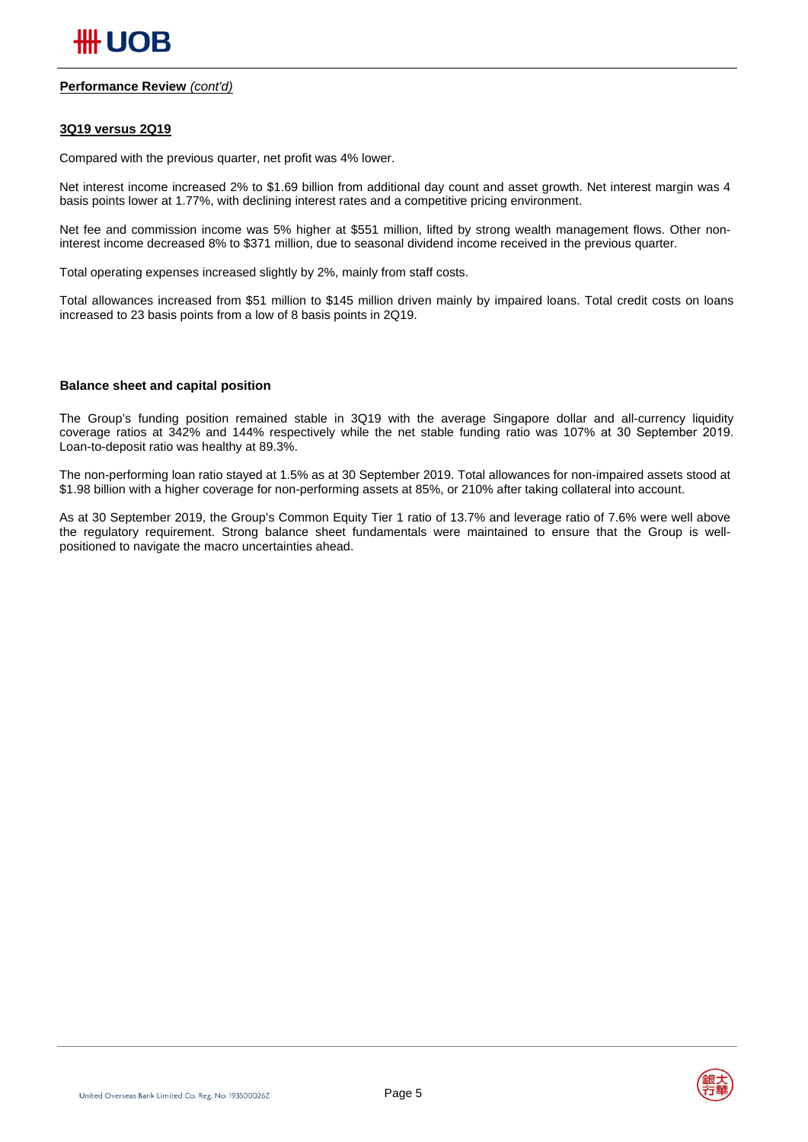#### **Performance Review** *(cont'd)*

#### **3Q19 versus 2Q19**

Compared with the previous quarter, net profit was 4% lower.

Net interest income increased 2% to \$1.69 billion from additional day count and asset growth. Net interest margin was 4 basis points lower at 1.77%, with declining interest rates and a competitive pricing environment.

Net fee and commission income was 5% higher at \$551 million, lifted by strong wealth management flows. Other noninterest income decreased 8% to \$371 million, due to seasonal dividend income received in the previous quarter.

Total operating expenses increased slightly by 2%, mainly from staff costs.

Total allowances increased from \$51 million to \$145 million driven mainly by impaired loans. Total credit costs on loans increased to 23 basis points from a low of 8 basis points in 2Q19.

#### **Balance sheet and capital position**

The Group's funding position remained stable in 3Q19 with the average Singapore dollar and all-currency liquidity coverage ratios at 342% and 144% respectively while the net stable funding ratio was 107% at 30 September 2019. Loan-to-deposit ratio was healthy at 89.3%.

The non-performing loan ratio stayed at 1.5% as at 30 September 2019. Total allowances for non-impaired assets stood at \$1.98 billion with a higher coverage for non-performing assets at 85%, or 210% after taking collateral into account.

As at 30 September 2019, the Group's Common Equity Tier 1 ratio of 13.7% and leverage ratio of 7.6% were well above the regulatory requirement. Strong balance sheet fundamentals were maintained to ensure that the Group is wellpositioned to navigate the macro uncertainties ahead.

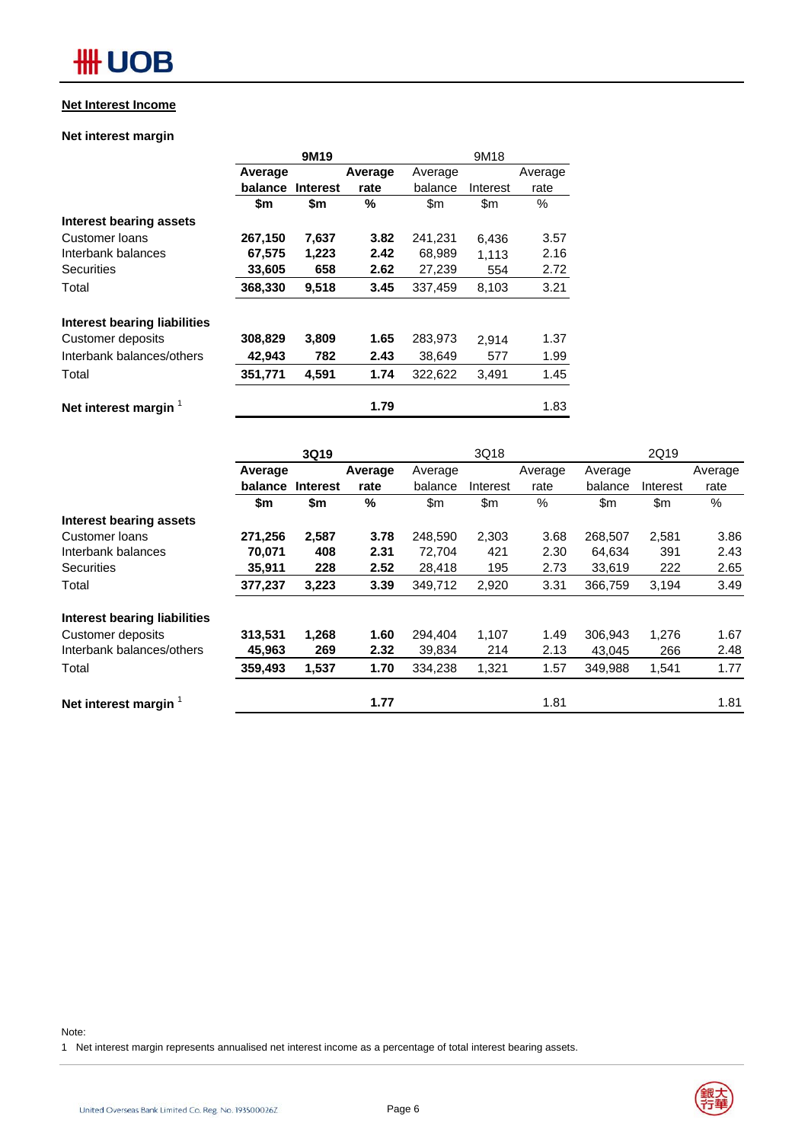### **Net Interest Income**

### **Net interest margin**

|                                |         | 9M19            |         |               | 9M18          |         |  |
|--------------------------------|---------|-----------------|---------|---------------|---------------|---------|--|
|                                | Average |                 | Average | Average       |               | Average |  |
|                                | balance | <b>Interest</b> | rate    | balance       | Interest      | rate    |  |
|                                | \$m     | \$m             | %       | $\mathsf{Sm}$ | $\mathsf{Sm}$ | $\%$    |  |
| <b>Interest bearing assets</b> |         |                 |         |               |               |         |  |
| Customer loans                 | 267,150 | 7,637           | 3.82    | 241,231       | 6,436         | 3.57    |  |
| Interbank balances             | 67,575  | 1,223           | 2.42    | 68,989        | 1,113         | 2.16    |  |
| Securities                     | 33,605  | 658             | 2.62    | 27,239        | 554           | 2.72    |  |
| Total                          | 368,330 | 9,518           | 3.45    | 337,459       | 8,103         | 3.21    |  |
| Interest bearing liabilities   |         |                 |         |               |               |         |  |
| Customer deposits              | 308,829 | 3,809           | 1.65    | 283,973       | 2.914         | 1.37    |  |
| Interbank balances/others      | 42,943  | 782             | 2.43    | 38.649        | 577           | 1.99    |  |
| Total                          | 351,771 | 4,591           | 1.74    | 322,622       | 3,491         | 1.45    |  |
| Net interest margin            |         |                 | 1.79    |               |               | 1.83    |  |

|                                |         | 3Q19            |         |         | 3Q18     |         |         | 2Q19     |         |  |  |
|--------------------------------|---------|-----------------|---------|---------|----------|---------|---------|----------|---------|--|--|
|                                | Average |                 | Average | Average |          | Average | Average |          | Average |  |  |
|                                | balance | <b>Interest</b> | rate    | balance | Interest | rate    | balance | Interest | rate    |  |  |
|                                | \$m     | \$m             | %       | \$m     | \$m\$    | %       | \$m     | \$m      | %       |  |  |
| <b>Interest bearing assets</b> |         |                 |         |         |          |         |         |          |         |  |  |
| Customer loans                 | 271,256 | 2,587           | 3.78    | 248,590 | 2,303    | 3.68    | 268,507 | 2,581    | 3.86    |  |  |
| Interbank balances             | 70.071  | 408             | 2.31    | 72,704  | 421      | 2.30    | 64,634  | 391      | 2.43    |  |  |
| <b>Securities</b>              | 35,911  | 228             | 2.52    | 28,418  | 195      | 2.73    | 33,619  | 222      | 2.65    |  |  |
| Total                          | 377,237 | 3,223           | 3.39    | 349,712 | 2,920    | 3.31    | 366,759 | 3,194    | 3.49    |  |  |
| Interest bearing liabilities   |         |                 |         |         |          |         |         |          |         |  |  |
| Customer deposits              | 313,531 | 1,268           | 1.60    | 294.404 | 1,107    | 1.49    | 306,943 | 1,276    | 1.67    |  |  |
| Interbank balances/others      | 45,963  | 269             | 2.32    | 39,834  | 214      | 2.13    | 43,045  | 266      | 2.48    |  |  |
| Total                          | 359,493 | 1,537           | 1.70    | 334,238 | 1,321    | 1.57    | 349,988 | 1,541    | 1.77    |  |  |
| Net interest margin 1          |         |                 | 1.77    |         |          | 1.81    |         |          | 1.81    |  |  |
|                                |         |                 |         |         |          |         |         |          |         |  |  |

Note:

1 Net interest margin represents annualised net interest income as a percentage of total interest bearing assets.

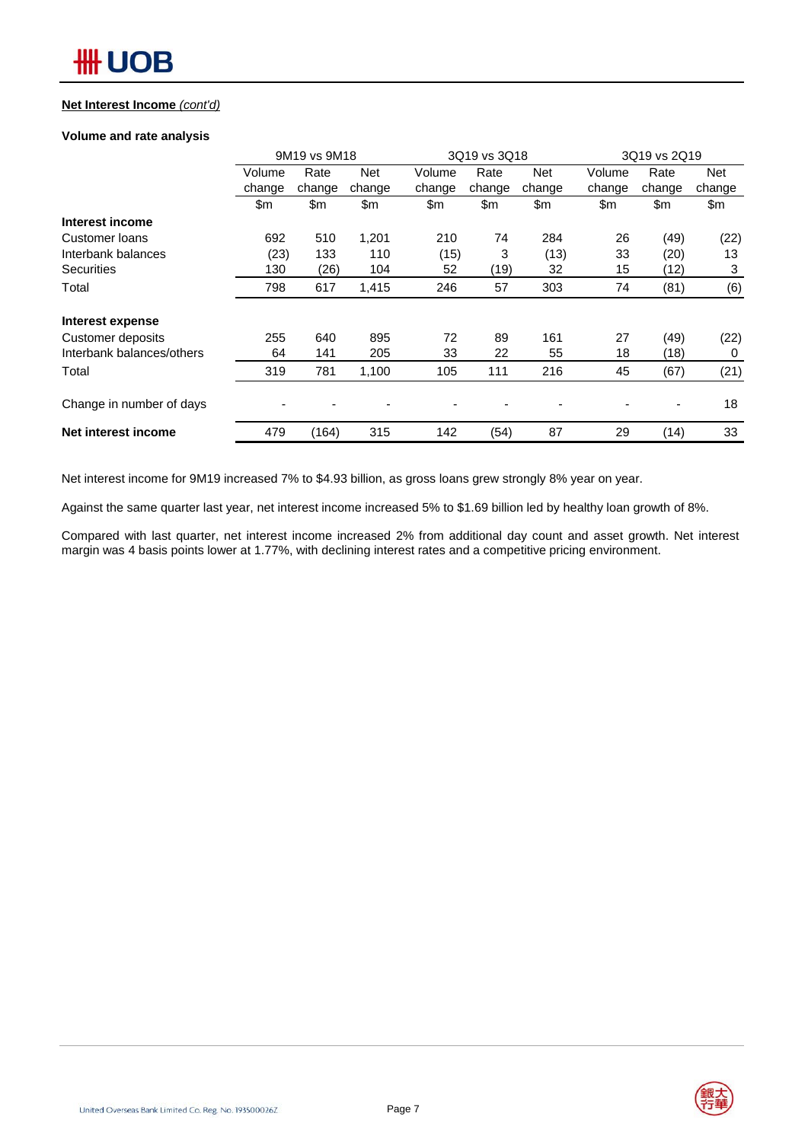#### **Net Interest Income** *(cont'd)*

#### **Volume and rate analysis**

|                           |        | 9M19 vs 9M18 |            |        | 3Q19 vs 3Q18 |                |        | 3Q19 vs 2Q19 |        |  |  |
|---------------------------|--------|--------------|------------|--------|--------------|----------------|--------|--------------|--------|--|--|
|                           | Volume | Rate         | <b>Net</b> | Volume | Rate         | <b>Net</b>     | Volume | Rate         | Net    |  |  |
|                           | change | change       | change     | change | change       | change         | change | change       | change |  |  |
|                           | \$m    | \$m          | \$m        | \$m    | \$m          | \$m            | \$m    | \$m          | \$m    |  |  |
| Interest income           |        |              |            |        |              |                |        |              |        |  |  |
| Customer loans            | 692    | 510          | 1,201      | 210    | 74           | 284            | 26     | (49)         | (22)   |  |  |
| Interbank balances        | (23)   | 133          | 110        | (15)   | 3            | (13)           | 33     | (20)         | 13     |  |  |
| <b>Securities</b>         | 130    | (26)         | 104        | 52     | (19)         | 32             | 15     | (12)         | 3      |  |  |
| Total                     | 798    | 617          | 1,415      | 246    | 57           | 303            | 74     | (81)         | (6)    |  |  |
| Interest expense          |        |              |            |        |              |                |        |              |        |  |  |
| Customer deposits         | 255    | 640          | 895        | 72     | 89           | 161            | 27     | (49)         | (22)   |  |  |
| Interbank balances/others | 64     | 141          | 205        | 33     | 22           | 55             | 18     | (18)         | 0      |  |  |
| Total                     | 319    | 781          | 1,100      | 105    | 111          | 216            | 45     | (67)         | (21)   |  |  |
| Change in number of days  |        |              |            |        |              | $\overline{a}$ |        | -            | 18     |  |  |
| Net interest income       | 479    | (164)        | 315        | 142    | (54)         | 87             | 29     | (14)         | 33     |  |  |

Net interest income for 9M19 increased 7% to \$4.93 billion, as gross loans grew strongly 8% year on year.

Against the same quarter last year, net interest income increased 5% to \$1.69 billion led by healthy loan growth of 8%.

Compared with last quarter, net interest income increased 2% from additional day count and asset growth. Net interest margin was 4 basis points lower at 1.77%, with declining interest rates and a competitive pricing environment.

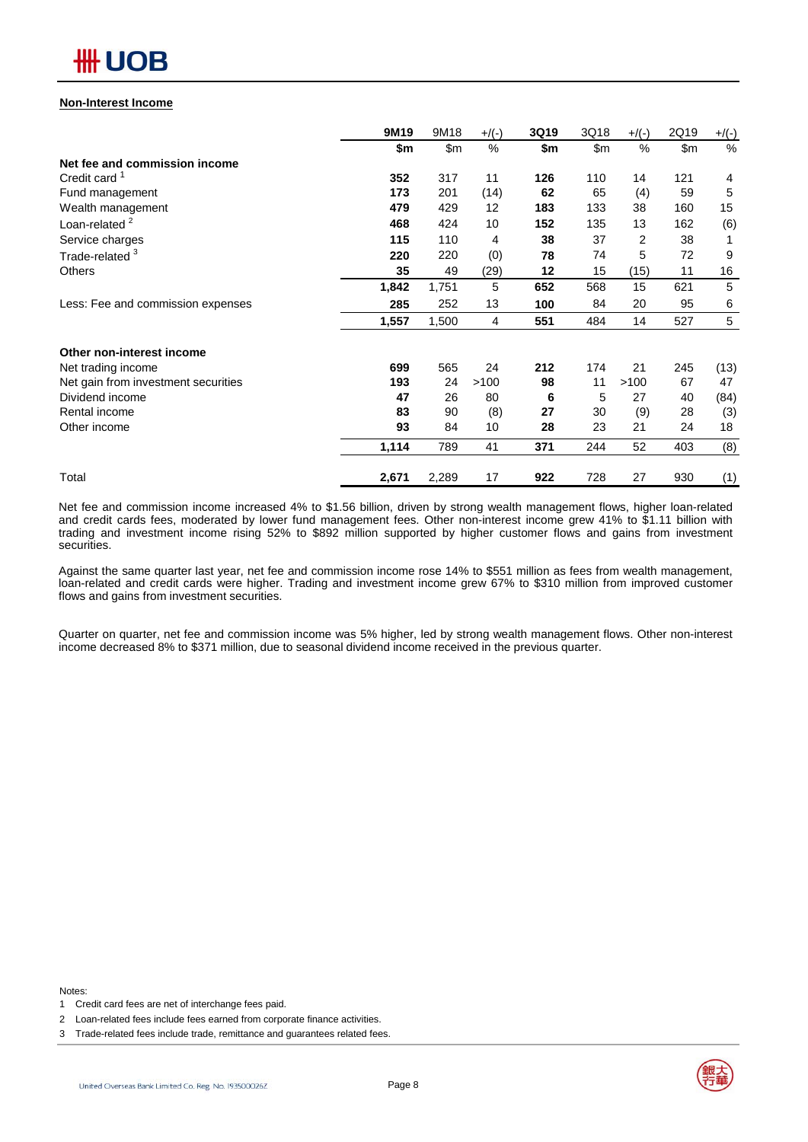## 卌 UOB

#### **Non-Interest Income**

|                                     | 9M19  | 9M18          | $+/(-)$ | 3Q19 | 3Q18 | $+/(-)$ | 2Q19          | $+$ /(-) |
|-------------------------------------|-------|---------------|---------|------|------|---------|---------------|----------|
|                                     | \$m   | $\mathsf{Sm}$ | $\%$    | \$m  | \$m  | %       | $\mathsf{Sm}$ | $\%$     |
| Net fee and commission income       |       |               |         |      |      |         |               |          |
| Credit card <sup>1</sup>            | 352   | 317           | 11      | 126  | 110  | 14      | 121           | 4        |
| Fund management                     | 173   | 201           | (14)    | 62   | 65   | (4)     | 59            | 5        |
| Wealth management                   | 479   | 429           | 12      | 183  | 133  | 38      | 160           | 15       |
| Loan-related <sup>2</sup>           | 468   | 424           | 10      | 152  | 135  | 13      | 162           | (6)      |
| Service charges                     | 115   | 110           | 4       | 38   | 37   | 2       | 38            |          |
| Trade-related <sup>3</sup>          | 220   | 220           | (0)     | 78   | 74   | 5       | 72            | 9        |
| <b>Others</b>                       | 35    | 49            | (29)    | 12   | 15   | (15)    | 11            | 16       |
|                                     | 1,842 | 1,751         | 5       | 652  | 568  | 15      | 621           | 5        |
| Less: Fee and commission expenses   | 285   | 252           | 13      | 100  | 84   | 20      | 95            | 6        |
|                                     | 1,557 | 1,500         | 4       | 551  | 484  | 14      | 527           | 5        |
| Other non-interest income           |       |               |         |      |      |         |               |          |
| Net trading income                  | 699   | 565           | 24      | 212  | 174  | 21      | 245           | (13)     |
| Net gain from investment securities | 193   | 24            | >100    | 98   | 11   | >100    | 67            | 47       |
| Dividend income                     | 47    | 26            | 80      | 6    | 5    | 27      | 40            | (84)     |
| Rental income                       | 83    | 90            | (8)     | 27   | 30   | (9)     | 28            | (3)      |
| Other income                        | 93    | 84            | 10      | 28   | 23   | 21      | 24            | 18       |
|                                     | 1,114 | 789           | 41      | 371  | 244  | 52      | 403           | (8)      |
| Total                               | 2,671 | 2,289         | 17      | 922  | 728  | 27      | 930           | (1)      |

Net fee and commission income increased 4% to \$1.56 billion, driven by strong wealth management flows, higher loan-related and credit cards fees, moderated by lower fund management fees. Other non-interest income grew 41% to \$1.11 billion with trading and investment income rising 52% to \$892 million supported by higher customer flows and gains from investment securities.

Against the same quarter last year, net fee and commission income rose 14% to \$551 million as fees from wealth management, loan-related and credit cards were higher. Trading and investment income grew 67% to \$310 million from improved customer flows and gains from investment securities.

Quarter on quarter, net fee and commission income was 5% higher, led by strong wealth management flows. Other non-interest income decreased 8% to \$371 million, due to seasonal dividend income received in the previous quarter.

Notes:



<sup>1</sup> Credit card fees are net of interchange fees paid.

<sup>2</sup> Loan-related fees include fees earned from corporate finance activities.

<sup>3</sup> Trade-related fees include trade, remittance and guarantees related fees.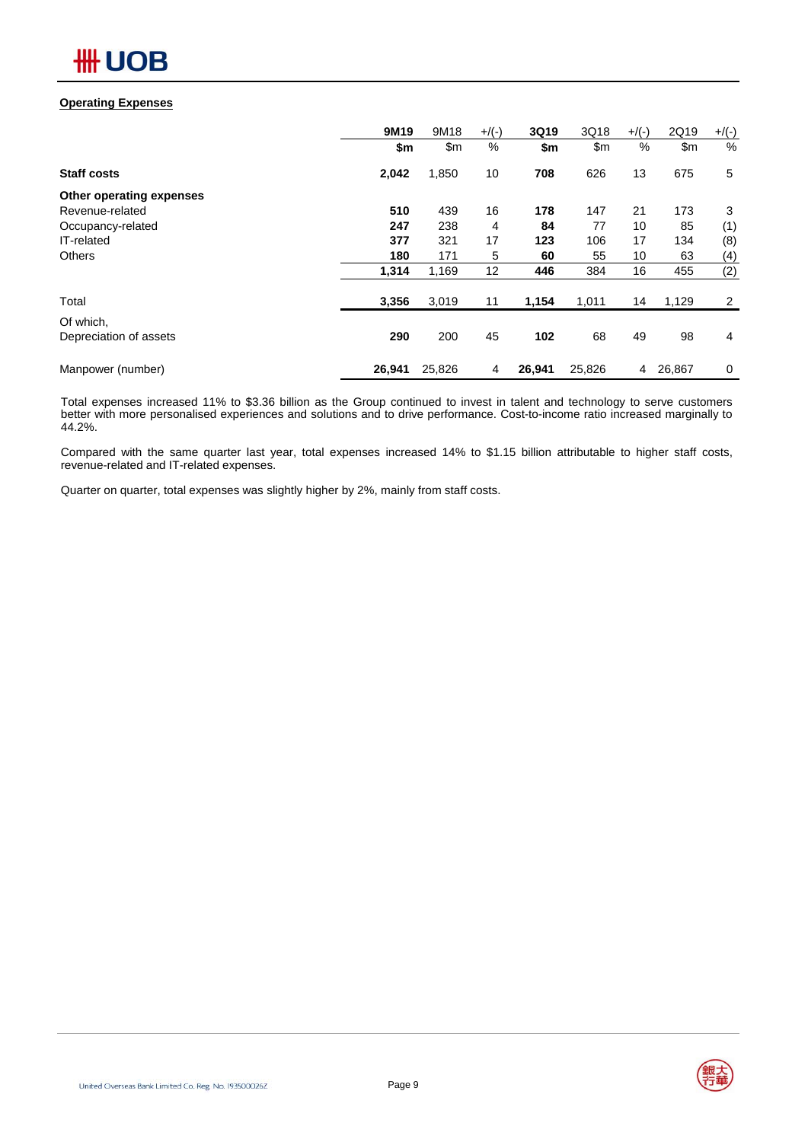### **Operating Expenses**

|                          | 9M19   | 9M18   | $+$ /(-) | 3Q19   | 3Q18   | $+$ /(-) | 2Q19          | $+$ /(-)       |
|--------------------------|--------|--------|----------|--------|--------|----------|---------------|----------------|
|                          | \$m    | \$m    | %        | \$m    | \$m\$  | %        | $\mathsf{Sm}$ | %              |
| <b>Staff costs</b>       | 2,042  | 1,850  | 10       | 708    | 626    | 13       | 675           | 5              |
| Other operating expenses |        |        |          |        |        |          |               |                |
| Revenue-related          | 510    | 439    | 16       | 178    | 147    | 21       | 173           | 3              |
| Occupancy-related        | 247    | 238    | 4        | 84     | 77     | 10       | 85            | (1)            |
| IT-related               | 377    | 321    | 17       | 123    | 106    | 17       | 134           | (8)            |
| <b>Others</b>            | 180    | 171    | 5        | 60     | 55     | 10       | 63            | (4)            |
|                          | 1,314  | 1,169  | 12       | 446    | 384    | 16       | 455           | (2)            |
| Total                    | 3,356  | 3,019  | 11       | 1,154  | 1,011  | 14       | 1,129         | $\overline{2}$ |
| Of which,                |        |        |          |        |        |          |               |                |
| Depreciation of assets   | 290    | 200    | 45       | 102    | 68     | 49       | 98            | $\overline{4}$ |
| Manpower (number)        | 26,941 | 25,826 | 4        | 26,941 | 25,826 | 4        | 26,867        | 0              |

Total expenses increased 11% to \$3.36 billion as the Group continued to invest in talent and technology to serve customers better with more personalised experiences and solutions and to drive performance. Cost-to-income ratio increased marginally to 44.2%.

Compared with the same quarter last year, total expenses increased 14% to \$1.15 billion attributable to higher staff costs, revenue-related and IT-related expenses.

Quarter on quarter, total expenses was slightly higher by 2%, mainly from staff costs.

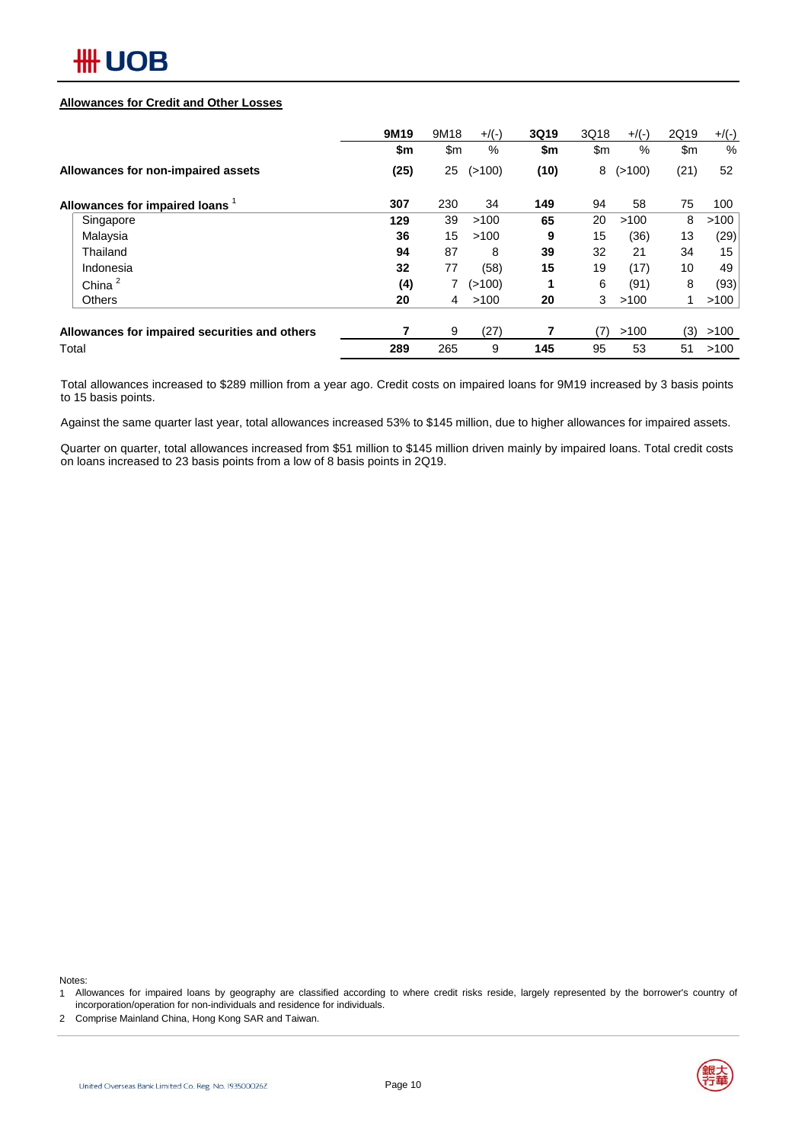

#### **Allowances for Credit and Other Losses**

|                                               | 9M19 | 9M18 | $+$ /(-) | 3Q19 | 3Q18          | $+/(-)$ | 2Q19 | $+$ /(-)      |
|-----------------------------------------------|------|------|----------|------|---------------|---------|------|---------------|
|                                               | \$m  | \$m  | %        | \$m  | $\mathsf{Sm}$ | %       | \$m  | $\frac{0}{0}$ |
| Allowances for non-impaired assets            | (25) | 25   | (>100)   | (10) | 8             | (>100)  | (21) | 52            |
| Allowances for impaired loans                 | 307  | 230  | 34       | 149  | 94            | 58      | 75   | 100           |
| Singapore                                     | 129  | 39   | >100     | 65   | 20            | >100    | 8    | >100          |
| Malaysia                                      | 36   | 15   | >100     | 9    | 15            | (36)    | 13   | (29)          |
| Thailand                                      | 94   | 87   | 8        | 39   | 32            | 21      | 34   | 15            |
| Indonesia                                     | 32   | 77   | (58)     | 15   | 19            | (17)    | 10   | 49            |
| China <sup>2</sup>                            | (4)  | 7    | (>100)   |      | 6             | (91)    | 8    | (93)          |
| <b>Others</b>                                 | 20   | 4    | >100     | 20   | 3             | >100    | 1    | >100          |
| Allowances for impaired securities and others |      | 9    | (27)     |      | (7)           | >100    | (3)  | >100          |
| Total                                         | 289  | 265  | 9        | 145  | 95            | 53      | 51   | >100          |

Total allowances increased to \$289 million from a year ago. Credit costs on impaired loans for 9M19 increased by 3 basis points to 15 basis points.

Against the same quarter last year, total allowances increased 53% to \$145 million, due to higher allowances for impaired assets.

Quarter on quarter, total allowances increased from \$51 million to \$145 million driven mainly by impaired loans. Total credit costs on loans increased to 23 basis points from a low of 8 basis points in 2Q19.

Notes:

1 Allowances for impaired loans by geography are classified according to where credit risks reside, largely represented by the borrower's country of incorporation/operation for non-individuals and residence for individuals.

2 Comprise Mainland China, Hong Kong SAR and Taiwan.

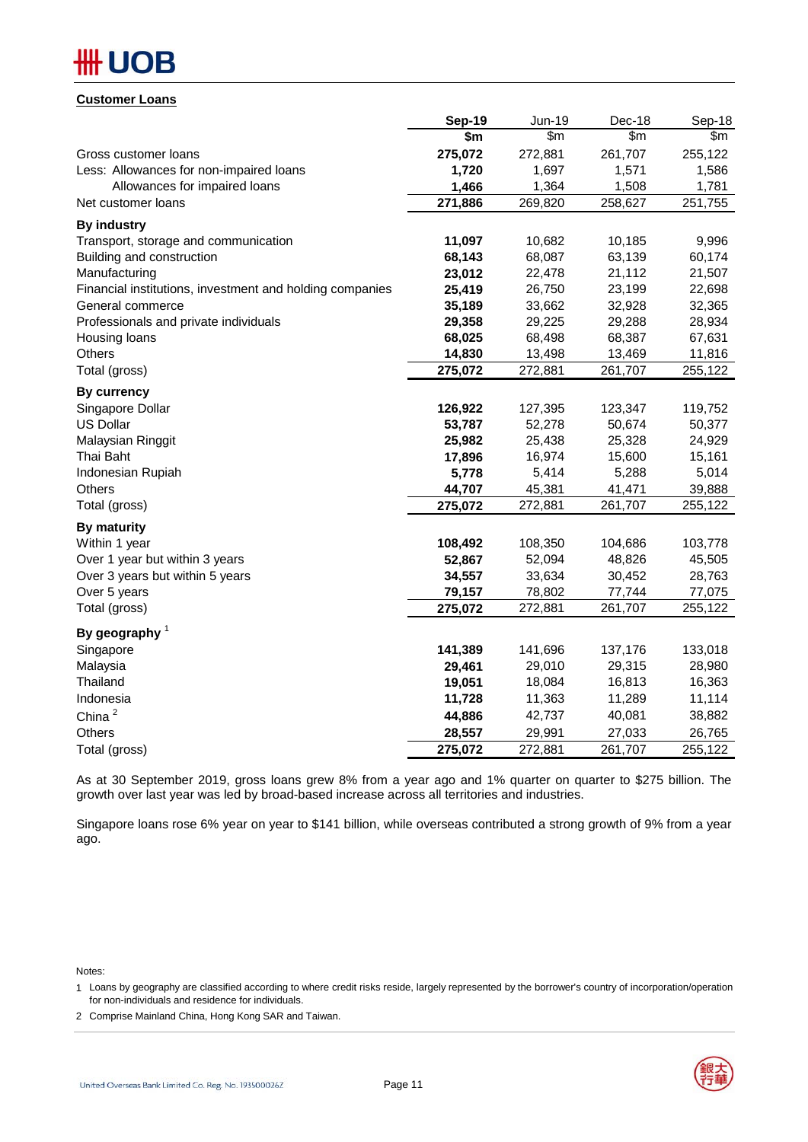## **## UOB**

## **Customer Loans**

|                                                          | <b>Sep-19</b> | Jun-19  | Dec-18  | Sep-18  |
|----------------------------------------------------------|---------------|---------|---------|---------|
|                                                          | \$m           | \$m\$   | \$m     | \$m\$   |
| Gross customer loans                                     | 275,072       | 272,881 | 261,707 | 255,122 |
| Less: Allowances for non-impaired loans                  | 1,720         | 1,697   | 1,571   | 1,586   |
| Allowances for impaired loans                            | 1,466         | 1,364   | 1,508   | 1,781   |
| Net customer loans                                       | 271,886       | 269,820 | 258,627 | 251,755 |
| <b>By industry</b>                                       |               |         |         |         |
| Transport, storage and communication                     | 11,097        | 10,682  | 10,185  | 9,996   |
| Building and construction                                | 68,143        | 68,087  | 63,139  | 60,174  |
| Manufacturing                                            | 23,012        | 22,478  | 21,112  | 21,507  |
| Financial institutions, investment and holding companies | 25,419        | 26,750  | 23,199  | 22,698  |
| General commerce                                         | 35,189        | 33,662  | 32,928  | 32,365  |
| Professionals and private individuals                    | 29,358        | 29,225  | 29,288  | 28,934  |
| Housing loans                                            | 68,025        | 68,498  | 68,387  | 67,631  |
| Others                                                   | 14,830        | 13,498  | 13,469  | 11,816  |
| Total (gross)                                            | 275,072       | 272,881 | 261,707 | 255,122 |
| <b>By currency</b>                                       |               |         |         |         |
| Singapore Dollar                                         | 126,922       | 127,395 | 123,347 | 119,752 |
| <b>US Dollar</b>                                         | 53,787        | 52,278  | 50,674  | 50,377  |
| Malaysian Ringgit                                        | 25,982        | 25,438  | 25,328  | 24,929  |
| Thai Baht                                                | 17,896        | 16,974  | 15,600  | 15,161  |
| Indonesian Rupiah                                        | 5,778         | 5,414   | 5,288   | 5,014   |
| <b>Others</b>                                            | 44,707        | 45,381  | 41,471  | 39,888  |
| Total (gross)                                            | 275,072       | 272,881 | 261,707 | 255,122 |
| By maturity                                              |               |         |         |         |
| Within 1 year                                            | 108,492       | 108,350 | 104,686 | 103,778 |
| Over 1 year but within 3 years                           | 52,867        | 52,094  | 48,826  | 45,505  |
| Over 3 years but within 5 years                          | 34,557        | 33,634  | 30,452  | 28,763  |
| Over 5 years                                             | 79,157        | 78,802  | 77,744  | 77,075  |
| Total (gross)                                            | 275,072       | 272,881 | 261,707 | 255,122 |
| By geography $1$                                         |               |         |         |         |
| Singapore                                                | 141,389       | 141,696 | 137,176 | 133,018 |
| Malaysia                                                 | 29,461        | 29,010  | 29,315  | 28,980  |
| Thailand                                                 | 19,051        | 18,084  | 16,813  | 16,363  |
| Indonesia                                                | 11,728        | 11,363  | 11,289  | 11,114  |
| China $^2$                                               | 44,886        | 42,737  | 40,081  | 38,882  |
| Others                                                   | 28,557        | 29,991  | 27,033  | 26,765  |
| Total (gross)                                            | 275,072       | 272,881 | 261,707 | 255,122 |

As at 30 September 2019, gross loans grew 8% from a year ago and 1% quarter on quarter to \$275 billion. The growth over last year was led by broad-based increase across all territories and industries.

Singapore loans rose 6% year on year to \$141 billion, while overseas contributed a strong growth of 9% from a year ago.

Notes:

2 Comprise Mainland China, Hong Kong SAR and Taiwan.



<sup>1</sup> Loans by geography are classified according to where credit risks reside, largely represented by the borrower's country of incorporation/operation for non-individuals and residence for individuals.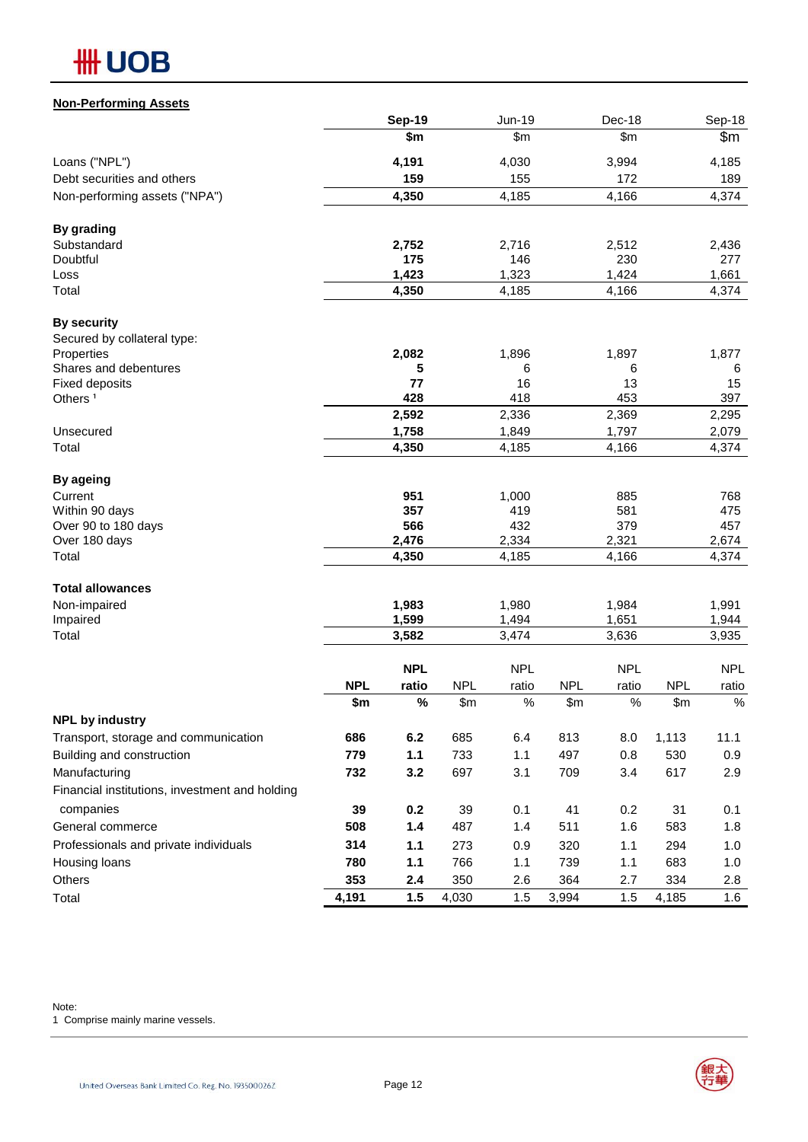| <b>Non-Performing Assets</b>                   |                   |                |                     |                |                     |                |                   |                |
|------------------------------------------------|-------------------|----------------|---------------------|----------------|---------------------|----------------|-------------------|----------------|
|                                                |                   | <b>Sep-19</b>  |                     | Jun-19         |                     | Dec-18         |                   | Sep-18         |
|                                                |                   | \$m            |                     | \$m\$          |                     | \$m            |                   | \$m            |
| Loans ("NPL")                                  |                   | 4,191          |                     | 4,030          |                     | 3,994          |                   | 4,185          |
| Debt securities and others                     |                   | 159            |                     | 155            |                     | 172            |                   | 189            |
| Non-performing assets ("NPA")                  |                   | 4,350          |                     | 4,185          |                     | 4,166          |                   | 4,374          |
| <b>By grading</b>                              |                   |                |                     |                |                     |                |                   |                |
| Substandard                                    |                   | 2,752          |                     | 2,716          |                     | 2,512          |                   | 2,436          |
| Doubtful                                       |                   | 175            |                     | 146            |                     | 230            |                   | 277            |
| Loss                                           |                   | 1,423          |                     | 1,323          |                     | 1,424          |                   | 1,661          |
| Total                                          |                   | 4,350          |                     | 4,185          |                     | 4,166          |                   | 4,374          |
| <b>By security</b>                             |                   |                |                     |                |                     |                |                   |                |
| Secured by collateral type:                    |                   |                |                     |                |                     |                |                   |                |
| Properties                                     |                   | 2,082          |                     | 1,896          |                     | 1,897          |                   | 1,877          |
| Shares and debentures                          |                   | 5              |                     | 6              |                     | 6              |                   | 6              |
| <b>Fixed deposits</b><br>Others <sup>1</sup>   |                   | 77<br>428      |                     | 16<br>418      |                     | 13<br>453      |                   | 15<br>397      |
|                                                |                   | 2,592          |                     | 2,336          |                     | 2,369          |                   | 2,295          |
| Unsecured                                      |                   | 1,758          |                     | 1,849          |                     | 1,797          |                   | 2,079          |
| Total                                          |                   | 4,350          |                     | 4,185          |                     | 4,166          |                   | 4,374          |
|                                                |                   |                |                     |                |                     |                |                   |                |
| <b>By ageing</b>                               |                   |                |                     |                |                     |                |                   |                |
| Current                                        |                   | 951            |                     | 1,000          |                     | 885            |                   | 768            |
| Within 90 days                                 |                   | 357<br>566     |                     | 419            |                     | 581            |                   | 475            |
| Over 90 to 180 days<br>Over 180 days           |                   | 2,476          |                     | 432<br>2,334   |                     | 379<br>2,321   |                   | 457<br>2,674   |
| Total                                          |                   | 4,350          |                     | 4,185          |                     | 4,166          |                   | 4,374          |
|                                                |                   |                |                     |                |                     |                |                   |                |
| <b>Total allowances</b>                        |                   |                |                     |                |                     |                |                   |                |
| Non-impaired                                   |                   | 1,983          |                     | 1,980          |                     | 1,984          |                   | 1,991          |
| Impaired<br>Total                              |                   | 1,599<br>3,582 |                     | 1,494<br>3,474 |                     | 1,651<br>3,636 |                   | 1,944<br>3,935 |
|                                                |                   |                |                     |                |                     |                |                   |                |
|                                                |                   | <b>NPL</b>     |                     | <b>NPL</b>     |                     | <b>NPL</b>     |                   | <b>NPL</b>     |
|                                                | <b>NPL</b><br>\$m | ratio<br>$\%$  | <b>NPL</b><br>\$m\$ | ratio<br>$\%$  | <b>NPL</b><br>\$m\$ | ratio<br>$\%$  | <b>NPL</b><br>\$m | ratio<br>$\%$  |
| <b>NPL by industry</b>                         |                   |                |                     |                |                     |                |                   |                |
| Transport, storage and communication           | 686               | 6.2            | 685                 | 6.4            | 813                 | 8.0            | 1,113             | 11.1           |
| Building and construction                      | 779               | 1.1            | 733                 | 1.1            | 497                 | 0.8            | 530               | 0.9            |
| Manufacturing                                  | 732               | 3.2            | 697                 | 3.1            | 709                 | 3.4            | 617               | 2.9            |
| Financial institutions, investment and holding |                   |                |                     |                |                     |                |                   |                |
| companies                                      | 39                | 0.2            | 39                  | 0.1            | 41                  | 0.2            | 31                | 0.1            |
| General commerce                               | 508               | $1.4$          | 487                 | 1.4            | 511                 | 1.6            | 583               | 1.8            |
| Professionals and private individuals          | 314               |                |                     |                |                     |                |                   |                |
|                                                |                   | 1.1            | 273                 | 0.9            | 320                 | 1.1            | 294               | 1.0            |
| Housing loans                                  | 780               | 1.1            | 766                 | 1.1            | 739                 | 1.1            | 683               | 1.0            |
| Others                                         | 353               | 2.4            | 350                 | 2.6            | 364                 | 2.7            | 334               | 2.8            |
| Total                                          | 4,191             | 1.5            | 4,030               | 1.5            | 3,994               | 1.5            | 4,185             | 1.6            |

Note:

1 Comprise mainly marine vessels.

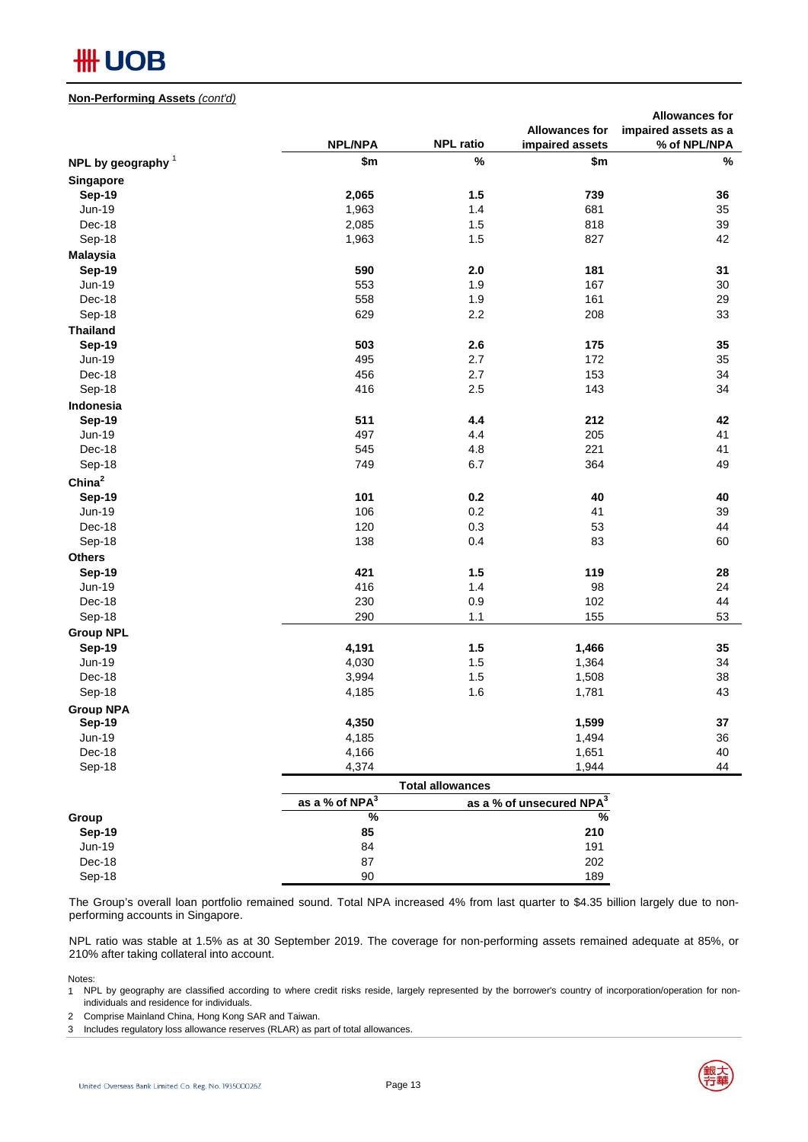#### **Non-Performing Assets** *(cont'd)*

|                      |                            |                         |                                      | <b>Allowances for</b> |
|----------------------|----------------------------|-------------------------|--------------------------------------|-----------------------|
|                      |                            |                         | <b>Allowances for</b>                | impaired assets as a  |
|                      | <b>NPL/NPA</b>             | <b>NPL ratio</b>        | impaired assets                      | % of NPL/NPA          |
| NPL by geography $1$ | \$m                        | %                       | \$m                                  | $\%$                  |
| Singapore            |                            |                         |                                      |                       |
| <b>Sep-19</b>        | 2,065                      | 1.5                     | 739                                  | 36                    |
| <b>Jun-19</b>        | 1,963                      | 1.4                     | 681                                  | 35                    |
| Dec-18               | 2,085                      | 1.5                     | 818                                  | 39                    |
| Sep-18               | 1,963                      | 1.5                     | 827                                  | 42                    |
| <b>Malaysia</b>      |                            |                         |                                      |                       |
| <b>Sep-19</b>        | 590                        | 2.0                     | 181                                  | 31                    |
| <b>Jun-19</b>        | 553                        | 1.9                     | 167                                  | 30                    |
| Dec-18               | 558                        | 1.9                     | 161                                  | 29                    |
| Sep-18               | 629                        | 2.2                     | 208                                  | 33                    |
| <b>Thailand</b>      |                            |                         |                                      |                       |
| <b>Sep-19</b>        | 503                        | 2.6                     | 175                                  | 35                    |
| <b>Jun-19</b>        | 495                        | 2.7                     | 172                                  | 35                    |
| Dec-18               | 456                        | 2.7                     | 153                                  | 34                    |
| Sep-18               | 416                        | 2.5                     | 143                                  | 34                    |
| Indonesia            |                            |                         |                                      |                       |
| <b>Sep-19</b>        | 511                        | 4.4                     | 212                                  | 42                    |
| Jun-19               | 497                        | 4.4                     | 205                                  | 41                    |
| Dec-18               | 545                        | 4.8                     | 221                                  | 41                    |
| Sep-18               | 749                        | 6.7                     | 364                                  | 49                    |
| China <sup>2</sup>   |                            |                         |                                      |                       |
|                      |                            |                         |                                      |                       |
| <b>Sep-19</b>        | 101                        | 0.2                     | 40                                   | 40                    |
| <b>Jun-19</b>        | 106                        | 0.2                     | 41                                   | 39                    |
| Dec-18               | 120                        | 0.3                     | 53                                   | 44                    |
| Sep-18               | 138                        | 0.4                     | 83                                   | 60                    |
| <b>Others</b>        |                            |                         |                                      |                       |
| <b>Sep-19</b>        | 421                        | 1.5                     | 119                                  | 28                    |
| Jun-19               | 416                        | 1.4                     | 98                                   | 24                    |
| Dec-18               | 230                        | 0.9                     | 102                                  | 44                    |
| Sep-18               | 290                        | 1.1                     | 155                                  | 53                    |
| <b>Group NPL</b>     |                            |                         |                                      |                       |
| Sep-19               | 4,191                      | 1.5                     | 1,466                                | 35                    |
| Jun-19               | 4,030                      | 1.5                     | 1,364                                | 34                    |
| Dec-18               | 3,994                      | 1.5                     | 1,508                                | 38                    |
| Sep-18               | 4,185                      | 1.6                     | 1,781                                | 43                    |
| <b>Group NPA</b>     |                            |                         |                                      |                       |
| <b>Sep-19</b>        | 4,350                      |                         | 1,599                                | 37                    |
| Jun-19               | 4,185                      |                         | 1,494                                | 36                    |
| Dec-18               | 4,166                      |                         | 1,651                                | 40                    |
| Sep-18               | 4,374                      |                         | 1,944                                | 44                    |
|                      |                            | <b>Total allowances</b> |                                      |                       |
|                      | as a % of NPA <sup>3</sup> |                         | as a % of unsecured NPA <sup>3</sup> |                       |

|               | as a % of $NPA3$ | as a % of unsecured NPA <sup>3</sup> |
|---------------|------------------|--------------------------------------|
| Group         | %                | %                                    |
| <b>Sep-19</b> | 85               | 210                                  |
| $Jun-19$      | 84               | 191                                  |
| Dec-18        | 87               | 202                                  |
| Sep-18        | 90               | 189                                  |

The Group's overall loan portfolio remained sound. Total NPA increased 4% from last quarter to \$4.35 billion largely due to nonperforming accounts in Singapore.

NPL ratio was stable at 1.5% as at 30 September 2019. The coverage for non-performing assets remained adequate at 85%, or 210% after taking collateral into account.

Notes:

- 1 NPL by geography are classified according to where credit risks reside, largely represented by the borrower's country of incorporation/operation for nonindividuals and residence for individuals.
- 2 Comprise Mainland China, Hong Kong SAR and Taiwan.
- 3 Includes regulatory loss allowance reserves (RLAR) as part of total allowances.

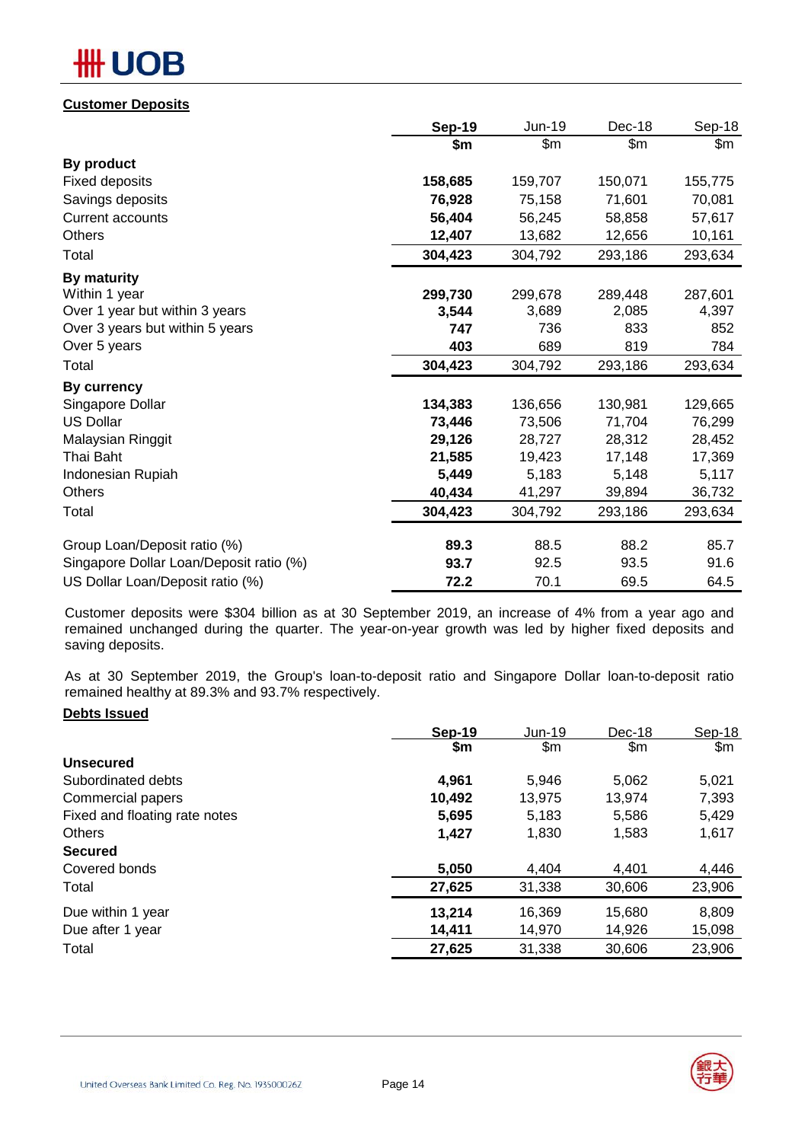# OB

## **Customer Deposits**

|                                         | <b>Sep-19</b> | <b>Jun-19</b> | Dec-18  | Sep-18  |
|-----------------------------------------|---------------|---------------|---------|---------|
|                                         | \$m           | \$m           | \$m     | \$m     |
| By product                              |               |               |         |         |
| <b>Fixed deposits</b>                   | 158,685       | 159,707       | 150,071 | 155,775 |
| Savings deposits                        | 76,928        | 75,158        | 71,601  | 70,081  |
| <b>Current accounts</b>                 | 56,404        | 56,245        | 58,858  | 57,617  |
| <b>Others</b>                           | 12,407        | 13,682        | 12,656  | 10,161  |
| Total                                   | 304,423       | 304,792       | 293,186 | 293,634 |
| By maturity                             |               |               |         |         |
| Within 1 year                           | 299,730       | 299,678       | 289,448 | 287,601 |
| Over 1 year but within 3 years          | 3,544         | 3,689         | 2,085   | 4,397   |
| Over 3 years but within 5 years         | 747           | 736           | 833     | 852     |
| Over 5 years                            | 403           | 689           | 819     | 784     |
| Total                                   | 304,423       | 304,792       | 293,186 | 293,634 |
| By currency                             |               |               |         |         |
| Singapore Dollar                        | 134,383       | 136,656       | 130,981 | 129,665 |
| <b>US Dollar</b>                        | 73,446        | 73,506        | 71,704  | 76,299  |
| Malaysian Ringgit                       | 29,126        | 28,727        | 28,312  | 28,452  |
| Thai Baht                               | 21,585        | 19,423        | 17,148  | 17,369  |
| Indonesian Rupiah                       | 5,449         | 5,183         | 5,148   | 5,117   |
| Others                                  | 40,434        | 41,297        | 39,894  | 36,732  |
| Total                                   | 304,423       | 304,792       | 293,186 | 293,634 |
| Group Loan/Deposit ratio (%)            | 89.3          | 88.5          | 88.2    | 85.7    |
| Singapore Dollar Loan/Deposit ratio (%) | 93.7          | 92.5          | 93.5    | 91.6    |
| US Dollar Loan/Deposit ratio (%)        | 72.2          | 70.1          | 69.5    | 64.5    |

Customer deposits were \$304 billion as at 30 September 2019, an increase of 4% from a year ago and remained unchanged during the quarter. The year-on-year growth was led by higher fixed deposits and saving deposits.

As at 30 September 2019, the Group's loan-to-deposit ratio and Singapore Dollar loan-to-deposit ratio remained healthy at 89.3% and 93.7% respectively.

### **Debts Issued**

|                               | Sep-19 | Jun-19 | Dec-18 | Sep-18        |
|-------------------------------|--------|--------|--------|---------------|
|                               | \$m    | \$m    | \$m    | $\mathsf{Sm}$ |
| <b>Unsecured</b>              |        |        |        |               |
| Subordinated debts            | 4,961  | 5,946  | 5,062  | 5,021         |
| Commercial papers             | 10,492 | 13,975 | 13,974 | 7,393         |
| Fixed and floating rate notes | 5,695  | 5,183  | 5,586  | 5,429         |
| <b>Others</b>                 | 1,427  | 1,830  | 1,583  | 1,617         |
| <b>Secured</b>                |        |        |        |               |
| Covered bonds                 | 5,050  | 4,404  | 4,401  | 4,446         |
| Total                         | 27,625 | 31,338 | 30,606 | 23,906        |
| Due within 1 year             | 13,214 | 16,369 | 15,680 | 8,809         |
| Due after 1 year              | 14,411 | 14,970 | 14,926 | 15,098        |
| Total                         | 27,625 | 31,338 | 30,606 | 23,906        |

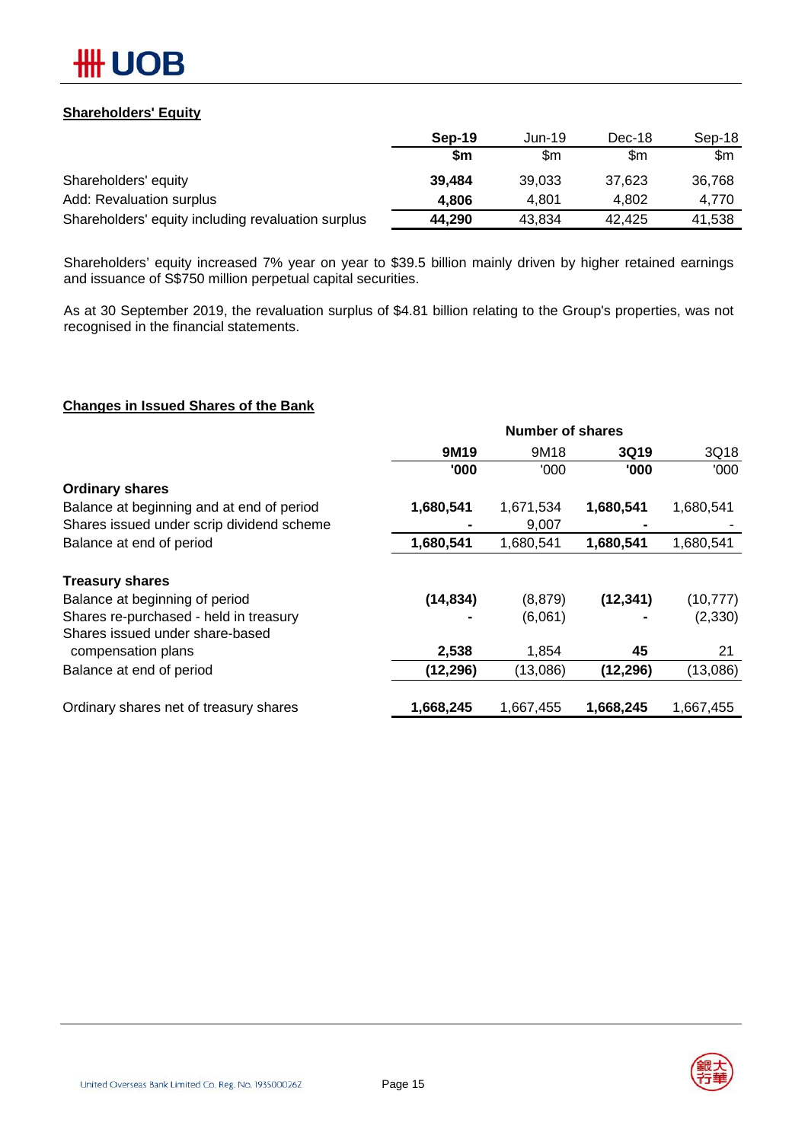

## **Shareholders' Equity**

|                                                    | Sep-19 | Jun-19 | Dec-18 | Sep-18 |
|----------------------------------------------------|--------|--------|--------|--------|
|                                                    | Sm     | \$m    | \$m    | \$m    |
| Shareholders' equity                               | 39,484 | 39.033 | 37.623 | 36,768 |
| Add: Revaluation surplus                           | 4.806  | 4.801  | 4.802  | 4.770  |
| Shareholders' equity including revaluation surplus | 44,290 | 43.834 | 42.425 | 41,538 |

Shareholders' equity increased 7% year on year to \$39.5 billion mainly driven by higher retained earnings and issuance of S\$750 million perpetual capital securities.

As at 30 September 2019, the revaluation surplus of \$4.81 billion relating to the Group's properties, was not recognised in the financial statements.

## **Changes in Issued Shares of the Bank**

|                                           | <b>Number of shares</b> |           |           |           |  |
|-------------------------------------------|-------------------------|-----------|-----------|-----------|--|
|                                           | 9M19                    | 9M18      | 3Q19      | 3Q18      |  |
|                                           | '000                    | '000'     | '000      | '000      |  |
| <b>Ordinary shares</b>                    |                         |           |           |           |  |
| Balance at beginning and at end of period | 1,680,541               | 1,671,534 | 1,680,541 | 1,680,541 |  |
| Shares issued under scrip dividend scheme |                         | 9,007     |           |           |  |
| Balance at end of period                  | 1,680,541               | 1,680,541 | 1,680,541 | 1,680,541 |  |
| <b>Treasury shares</b>                    |                         |           |           |           |  |
| Balance at beginning of period            | (14, 834)               | (8, 879)  | (12, 341) | (10, 777) |  |
| Shares re-purchased - held in treasury    |                         | (6,061)   |           | (2, 330)  |  |
| Shares issued under share-based           |                         |           |           |           |  |
| compensation plans                        | 2,538                   | 1,854     | 45        | 21        |  |
| Balance at end of period                  | (12, 296)               | (13,086)  | (12, 296) | (13,086)  |  |
| Ordinary shares net of treasury shares    | 1,668,245               | 1,667,455 | 1,668,245 | 1,667,455 |  |
|                                           |                         |           |           |           |  |

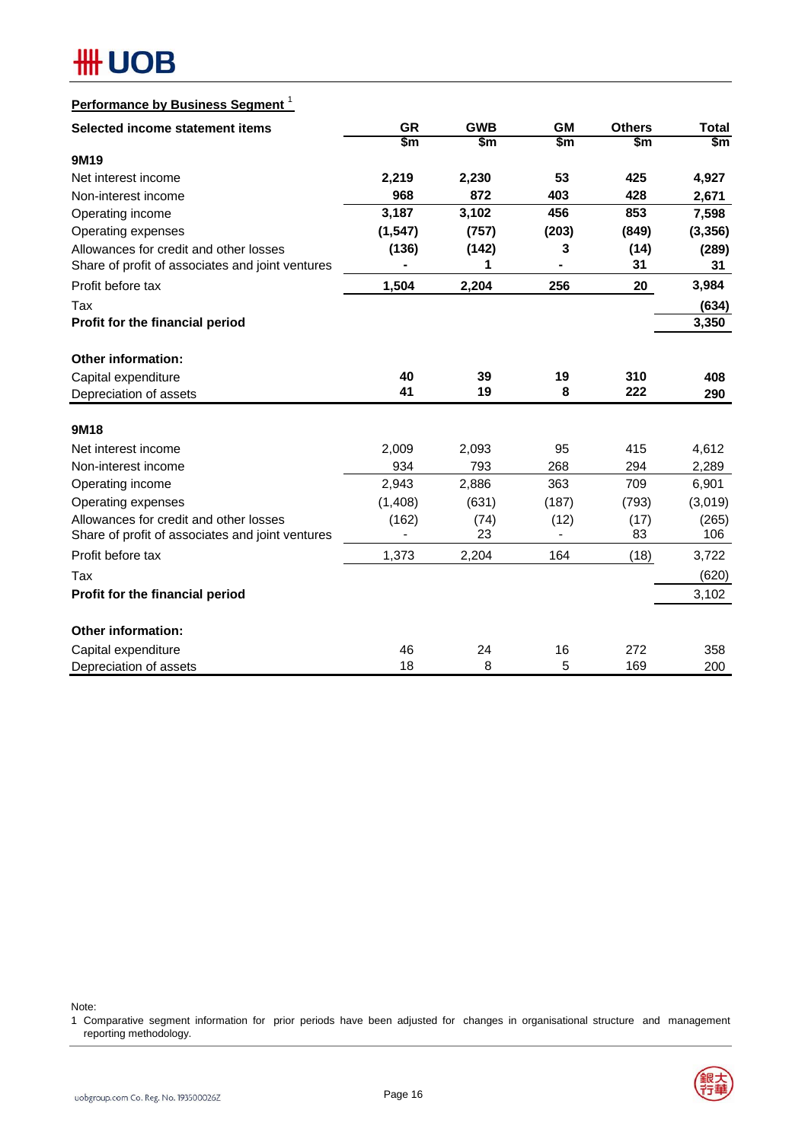| Performance by Business Segment <sup>1</sup>     |           |            |           |               |              |
|--------------------------------------------------|-----------|------------|-----------|---------------|--------------|
| Selected income statement items                  | <b>GR</b> | <b>GWB</b> | <b>GM</b> | <b>Others</b> | <b>Total</b> |
|                                                  | \$m       | \$m        | \$m       | \$m           | \$m\$        |
| 9M19                                             |           |            |           |               |              |
| Net interest income                              | 2,219     | 2,230      | 53        | 425           | 4,927        |
| Non-interest income                              | 968       | 872        | 403       | 428           | 2,671        |
| Operating income                                 | 3,187     | 3,102      | 456       | 853           | 7,598        |
| Operating expenses                               | (1, 547)  | (757)      | (203)     | (849)         | (3, 356)     |
| Allowances for credit and other losses           | (136)     | (142)      | 3         | (14)          | (289)        |
| Share of profit of associates and joint ventures |           | 1          |           | 31            | 31           |
| Profit before tax                                | 1,504     | 2,204      | 256       | 20            | 3,984        |
| Tax                                              |           |            |           |               | (634)        |
| Profit for the financial period                  |           |            |           |               | 3,350        |
| Other information:                               |           |            |           |               |              |
| Capital expenditure                              | 40        | 39         | 19        | 310           | 408          |
| Depreciation of assets                           | 41        | 19         | 8         | 222           | 290          |
|                                                  |           |            |           |               |              |
| 9M18                                             |           |            |           |               |              |
| Net interest income                              | 2,009     | 2,093      | 95        | 415           | 4,612        |
| Non-interest income                              | 934       | 793        | 268       | 294           | 2,289        |
| Operating income                                 | 2,943     | 2,886      | 363       | 709           | 6,901        |
| Operating expenses                               | (1,408)   | (631)      | (187)     | (793)         | (3,019)      |
| Allowances for credit and other losses           | (162)     | (74)       | (12)      | (17)          | (265)        |
| Share of profit of associates and joint ventures |           | 23         |           | 83            | 106          |
| Profit before tax                                | 1,373     | 2,204      | 164       | (18)          | 3,722        |
| Tax                                              |           |            |           |               | (620)        |
| Profit for the financial period                  |           |            |           |               | 3,102        |
| <b>Other information:</b>                        |           |            |           |               |              |
| Capital expenditure                              | 46        | 24         | 16        | 272           | 358          |
| Depreciation of assets                           | 18        | 8          | 5         | 169           | 200          |

Note:

1 Comparative segment information for prior periods have been adjusted for changes in organisational structure and management reporting methodology.

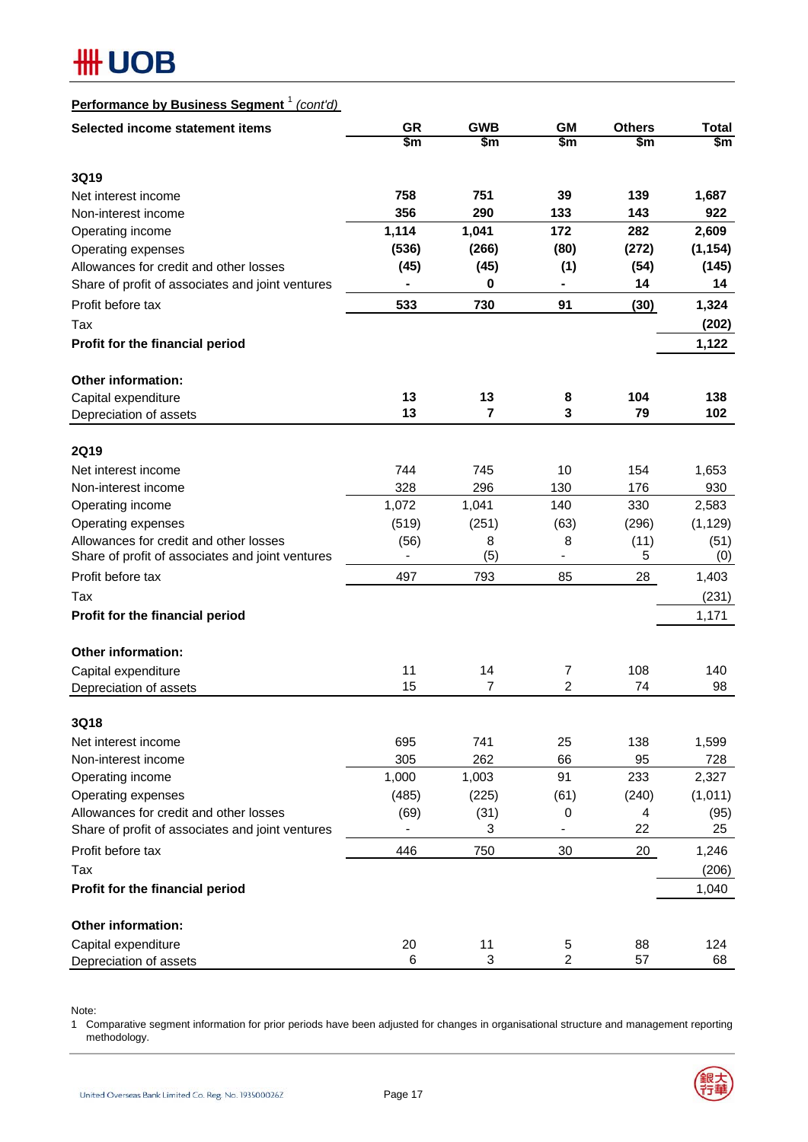| Performance by Business Segment <sup>1</sup><br>(cont'd) |           |                |                |               |               |
|----------------------------------------------------------|-----------|----------------|----------------|---------------|---------------|
| Selected income statement items                          | <b>GR</b> | <b>GWB</b>     | <b>GM</b>      | <b>Others</b> | <b>Total</b>  |
|                                                          | \$m       | \$m            | $\mathsf{Sm}$  | \$m           | $\mathsf{Sm}$ |
| <b>3Q19</b>                                              |           |                |                |               |               |
| Net interest income                                      | 758       | 751            | 39             | 139           | 1,687         |
| Non-interest income                                      | 356       | 290            | 133            | 143           | 922           |
| Operating income                                         | 1,114     | 1,041          | 172            | 282           | 2,609         |
| Operating expenses                                       | (536)     | (266)          | (80)           | (272)         | (1, 154)      |
| Allowances for credit and other losses                   | (45)      | (45)           | (1)            | (54)          | (145)         |
| Share of profit of associates and joint ventures         |           | 0              | ۰              | 14            | 14            |
| Profit before tax                                        | 533       | 730            | 91             | (30)          | 1,324         |
| Tax                                                      |           |                |                |               | (202)         |
| Profit for the financial period                          |           |                |                |               | 1,122         |
| Other information:                                       |           |                |                |               |               |
| Capital expenditure                                      | 13        | 13             | 8              | 104           | 138           |
| Depreciation of assets                                   | 13        | $\overline{7}$ | 3              | 79            | 102           |
|                                                          |           |                |                |               |               |
| <b>2Q19</b>                                              |           |                |                |               |               |
| Net interest income                                      | 744       | 745            | 10             | 154           | 1,653         |
| Non-interest income                                      | 328       | 296            | 130            | 176           | 930           |
| Operating income                                         | 1,072     | 1,041          | 140            | 330           | 2,583         |
| Operating expenses                                       | (519)     | (251)          | (63)           | (296)         | (1, 129)      |
| Allowances for credit and other losses                   | (56)      | 8              | 8              | (11)          | (51)          |
| Share of profit of associates and joint ventures         |           | (5)            | $\blacksquare$ | 5             | (0)           |
| Profit before tax                                        | 497       | 793            | 85             | 28            | 1,403         |
| Tax                                                      |           |                |                |               | (231)         |
| Profit for the financial period                          |           |                |                |               | 1,171         |
| Other information:                                       |           |                |                |               |               |
| Capital expenditure                                      | 11        | 14             | 7              | 108           | 140           |
| Depreciation of assets                                   | 15        | 7              | 2              | 74            | 98            |
|                                                          |           |                |                |               |               |
| 3Q18<br>Net interest income                              | 695       | 741            | 25             | 138           | 1,599         |
| Non-interest income                                      | 305       | 262            | 66             | 95            | 728           |
| Operating income                                         | 1,000     | 1,003          | 91             | 233           | 2,327         |
| Operating expenses                                       | (485)     | (225)          | (61)           | (240)         | (1,011)       |
| Allowances for credit and other losses                   | (69)      | (31)           | $\mathbf 0$    | 4             | (95)          |
| Share of profit of associates and joint ventures         |           | 3              | $\blacksquare$ | 22            | 25            |
| Profit before tax                                        | 446       | 750            | 30             | 20            | 1,246         |
| Tax                                                      |           |                |                |               | (206)         |
|                                                          |           |                |                |               |               |
| Profit for the financial period                          |           |                |                |               | 1,040         |
| Other information:                                       |           |                |                |               |               |
| Capital expenditure                                      | 20        | 11             | 5              | 88            | 124           |
| Depreciation of assets                                   | 6         | 3              | 2              | 57            | 68            |

Note:

1 Comparative segment information for prior periods have been adjusted for changes in organisational structure and management reporting methodology.

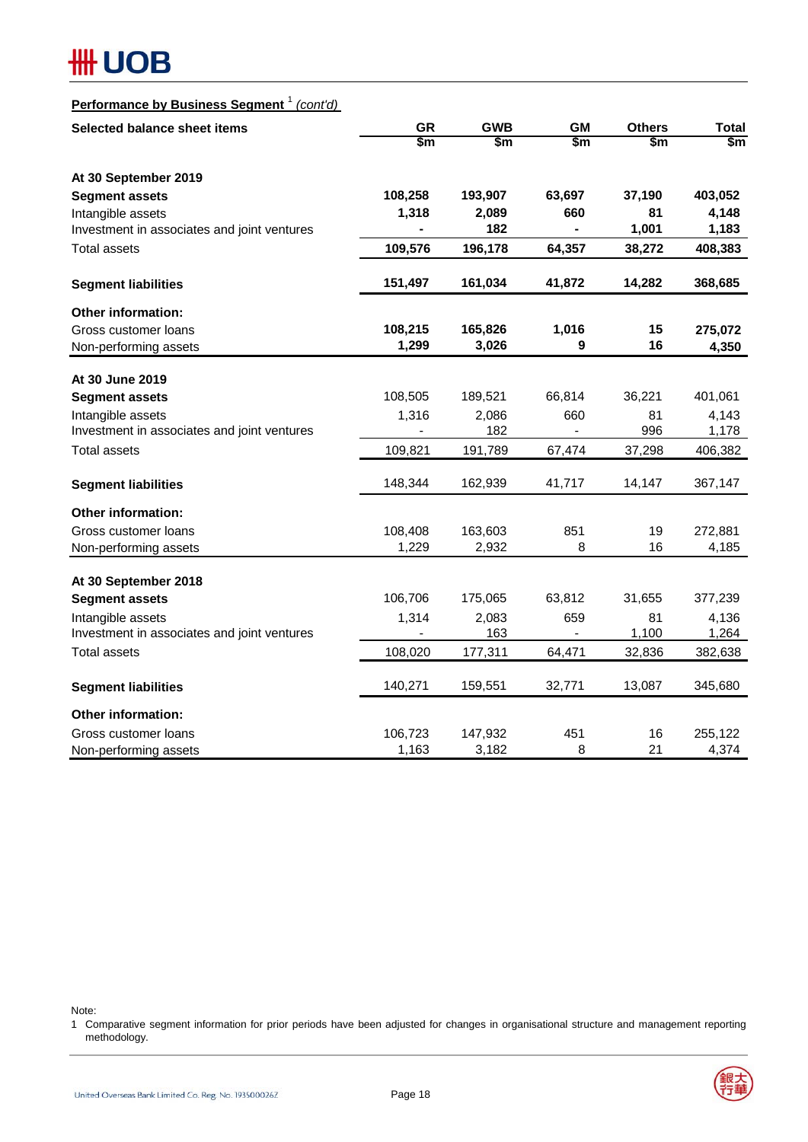| Performance by Business Segment <sup>1</sup> (cont'd) |
|-------------------------------------------------------|
|-------------------------------------------------------|

| Selected balance sheet items                | <b>GR</b>     | <b>GWB</b> | <b>GM</b> | <b>Others</b> | <b>Total</b> |
|---------------------------------------------|---------------|------------|-----------|---------------|--------------|
|                                             | $\frac{2}{3}$ | \$m        | \$m       | $\mathsf{sm}$ | \$m          |
| At 30 September 2019                        |               |            |           |               |              |
| <b>Segment assets</b>                       | 108,258       | 193,907    | 63,697    | 37,190        | 403,052      |
| Intangible assets                           | 1,318         | 2,089      | 660       | 81            | 4,148        |
| Investment in associates and joint ventures |               | 182        |           | 1,001         | 1,183        |
| <b>Total assets</b>                         | 109,576       | 196,178    | 64,357    | 38,272        | 408,383      |
| <b>Segment liabilities</b>                  | 151,497       | 161,034    | 41,872    | 14,282        | 368,685      |
| <b>Other information:</b>                   |               |            |           |               |              |
| Gross customer loans                        | 108,215       | 165,826    | 1,016     | 15            | 275,072      |
| Non-performing assets                       | 1,299         | 3,026      | 9         | 16            | 4,350        |
| At 30 June 2019                             |               |            |           |               |              |
| <b>Segment assets</b>                       | 108,505       | 189,521    | 66,814    | 36,221        | 401,061      |
| Intangible assets                           | 1,316         | 2,086      | 660       | 81            | 4,143        |
| Investment in associates and joint ventures |               | 182        |           | 996           | 1,178        |
| <b>Total assets</b>                         | 109,821       | 191,789    | 67,474    | 37,298        | 406,382      |
| <b>Segment liabilities</b>                  | 148,344       | 162,939    | 41,717    | 14,147        | 367,147      |
| <b>Other information:</b>                   |               |            |           |               |              |
| Gross customer loans                        | 108,408       | 163,603    | 851       | 19            | 272,881      |
| Non-performing assets                       | 1,229         | 2,932      | 8         | 16            | 4,185        |
| At 30 September 2018                        |               |            |           |               |              |
| <b>Segment assets</b>                       | 106,706       | 175,065    | 63,812    | 31,655        | 377,239      |
| Intangible assets                           | 1,314         | 2,083      | 659       | 81            | 4,136        |
| Investment in associates and joint ventures |               | 163        |           | 1,100         | 1,264        |
| <b>Total assets</b>                         | 108,020       | 177,311    | 64,471    | 32,836        | 382,638      |
| <b>Segment liabilities</b>                  | 140,271       | 159,551    | 32,771    | 13,087        | 345,680      |
| <b>Other information:</b>                   |               |            |           |               |              |
| Gross customer loans                        | 106,723       | 147,932    | 451       | 16            | 255,122      |
| Non-performing assets                       | 1,163         | 3,182      | 8         | 21            | 4,374        |

Note:

1 Comparative segment information for prior periods have been adjusted for changes in organisational structure and management reporting methodology.

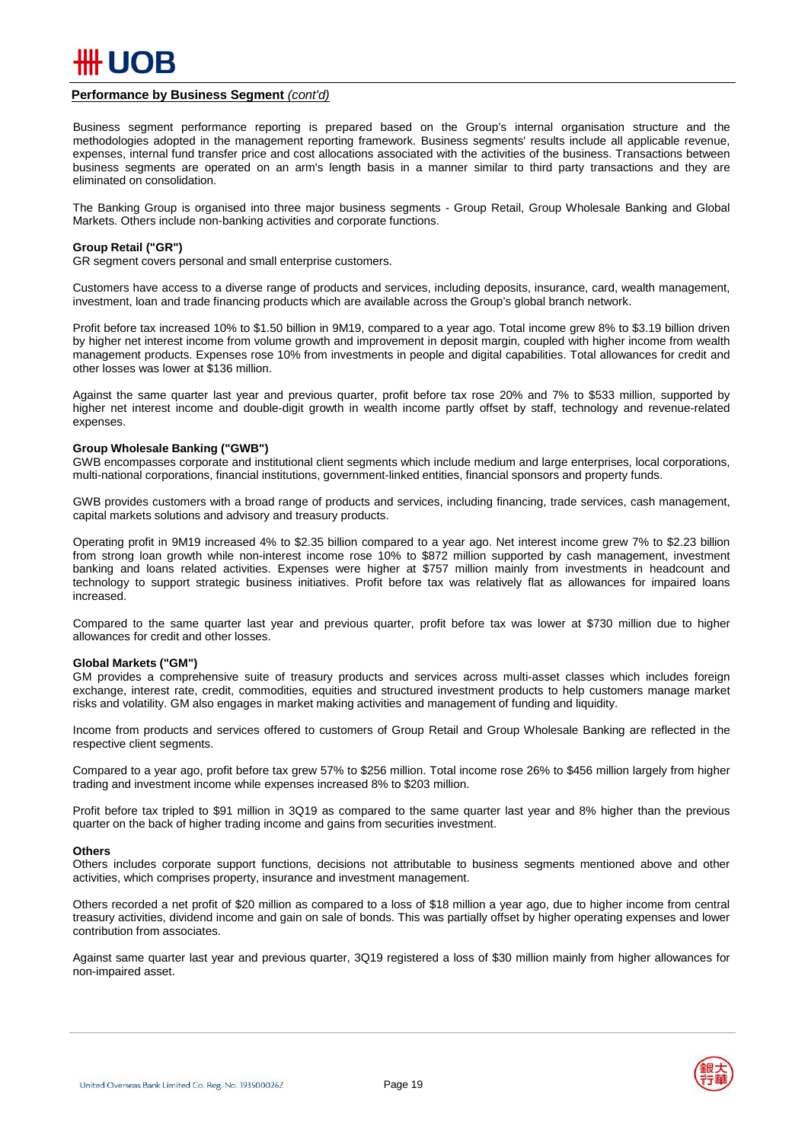

#### **Performance by Business Segment** *(cont'd)*

business segments are operated on an arm's length basis in a manner similar to third party transactions and they are<br>eliminated on consolidation Business segment performance reporting is prepared based on the Group's internal organisation structure and the methodologies adopted in the management reporting framework. Business segments' results include all applicable revenue, expenses, internal fund transfer price and cost allocations associated with the activities of the business. Transactions between eliminated on consolidation.

The Banking Group is organised into three major business segments - Group Retail, Group Wholesale Banking and Global Markets. Others include non-banking activities and corporate functions.

#### **Group Retail ("GR")**

GR segment covers personal and small enterprise customers.

Customers have access to a diverse range of products and services, including deposits, insurance, card, wealth management, investment, loan and trade financing products which are available across the Group's global branch network.

Profit before tax increased 10% to \$1.50 billion in 9M19, compared to a year ago. Total income grew 8% to \$3.19 billion driven by higher net interest income from volume growth and improvement in deposit margin, coupled with higher income from wealth management products. Expenses rose 10% from investments in people and digital capabilities. Total allowances for credit and other losses was lower at \$136 million.

higher net interest income and double-digit growth in wealth income partly offset by staff, technology and revenue-related<br>expenses. Against the same quarter last year and previous quarter, profit before tax rose 20% and 7% to \$533 million, supported by expenses.

#### **Group Wholesale Banking ("GWB")**

GWB encompasses corporate and institutional client segments which include medium and large enterprises, local corporations, multi-national corporations, financial institutions, government-linked entities, financial sponsors and property funds.

GWB provides customers with a broad range of products and services, including financing, trade services, cash management, capital markets solutions and advisory and treasury products.

Operating profit in 9M19 increased 4% to \$2.35 billion compared to a year ago. Net interest income grew 7% to \$2.23 billion from strong loan growth while non-interest income rose 10% to \$872 million supported by cash management, investment banking and loans related activities. Expenses were higher at \$757 million mainly from investments in headcount and technology to support strategic business initiatives. Profit before tax was relatively flat as allowances for impaired loans increased.

Compared to the same quarter last year and previous quarter, profit before tax was lower at \$730 million due to higher allowances for credit and other losses.

#### **Global Markets ("GM")**

GM provides a comprehensive suite of treasury products and services across multi-asset classes which includes foreign exchange, interest rate, credit, commodities, equities and structured investment products to help customers manage market risks and volatility. GM also engages in market making activities and management of funding and liquidity.

Income from products and services offered to customers of Group Retail and Group Wholesale Banking are reflected in the respective client segments.

Compared to a year ago, profit before tax grew 57% to \$256 million. Total income rose 26% to \$456 million largely from higher trading and investment income while expenses increased 8% to \$203 million.

Profit before tax tripled to \$91 million in 3Q19 as compared to the same quarter last year and 8% higher than the previous quarter on the back of higher trading income and gains from securities investment.

#### **Others**

Others includes corporate support functions, decisions not attributable to business segments mentioned above and other activities, which comprises property, insurance and investment management.

Others recorded a net profit of \$20 million as compared to a loss of \$18 million a year ago, due to higher income from central treasury activities, dividend income and gain on sale of bonds. This was partially offset by higher operating expenses and lower contribution from associates.

Against same quarter last year and previous quarter, 3Q19 registered a loss of \$30 million mainly from higher allowances for non-impaired asset.

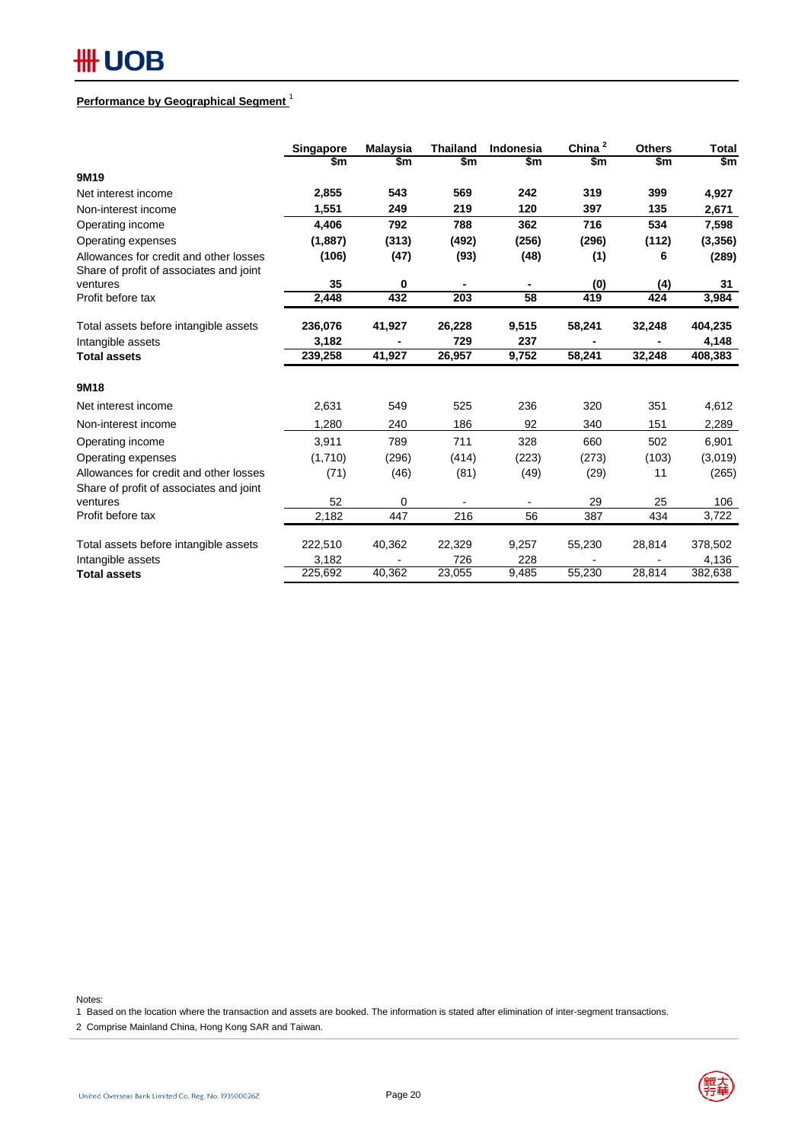## **#H UOB**

### **Performance by Geographical Segment** <sup>1</sup>

|                                                                                   | Singapore | <b>Malaysia</b> | <b>Thailand</b>  | Indonesia       | China $^2$ | <b>Others</b> | Total    |
|-----------------------------------------------------------------------------------|-----------|-----------------|------------------|-----------------|------------|---------------|----------|
|                                                                                   | \$m       | \$m             | \$m              | \$m             | \$m        | \$m           | \$m      |
| 9M19                                                                              |           |                 |                  |                 |            |               |          |
| Net interest income                                                               | 2,855     | 543             | 569              | 242             | 319        | 399           | 4,927    |
| Non-interest income                                                               | 1,551     | 249             | 219              | 120             | 397        | 135           | 2,671    |
| Operating income                                                                  | 4,406     | 792             | 788              | 362             | 716        | 534           | 7,598    |
| Operating expenses                                                                | (1,887)   | (313)           | (492)            | (256)           | (296)      | (112)         | (3, 356) |
| Allowances for credit and other losses<br>Share of profit of associates and joint | (106)     | (47)            | (93)             | (48)            | (1)        | 6             | (289)    |
| ventures                                                                          | 35        | $\mathbf 0$     |                  |                 | (0)        | (4)           | 31       |
| Profit before tax                                                                 | 2,448     | 432             | $\overline{203}$ | $\overline{58}$ | 419        | 424           | 3,984    |
| Total assets before intangible assets                                             | 236,076   | 41,927          | 26,228           | 9,515           | 58,241     | 32,248        | 404,235  |
| Intangible assets                                                                 | 3,182     |                 | 729              | 237             |            |               | 4,148    |
| <b>Total assets</b>                                                               | 239,258   | 41,927          | 26,957           | 9,752           | 58,241     | 32,248        | 408,383  |
| 9M18                                                                              |           |                 |                  |                 |            |               |          |
| Net interest income                                                               | 2,631     | 549             | 525              | 236             | 320        | 351           | 4,612    |
| Non-interest income                                                               | 1.280     | 240             | 186              | 92              | 340        | 151           | 2,289    |
| Operating income                                                                  | 3,911     | 789             | 711              | 328             | 660        | 502           | 6,901    |
| Operating expenses                                                                | (1,710)   | (296)           | (414)            | (223)           | (273)      | (103)         | (3,019)  |
| Allowances for credit and other losses                                            | (71)      | (46)            | (81)             | (49)            | (29)       | 11            | (265)    |
| Share of profit of associates and joint                                           |           |                 |                  |                 |            |               |          |
| ventures                                                                          | 52        | 0               |                  | $\blacksquare$  | 29         | 25            | 106      |
| Profit before tax                                                                 | 2,182     | 447             | 216              | 56              | 387        | 434           | 3,722    |
| Total assets before intangible assets                                             | 222,510   | 40,362          | 22,329           | 9,257           | 55,230     | 28,814        | 378,502  |
| Intangible assets                                                                 | 3,182     |                 | 726              | 228             |            |               | 4,136    |
| <b>Total assets</b>                                                               | 225,692   | 40,362          | 23,055           | 9,485           | 55,230     | 28,814        | 382,638  |

Notes:

1 Based on the location where the transaction and assets are booked. The information is stated after elimination of inter-segment transactions.

2 Comprise Mainland China, Hong Kong SAR and Taiwan.



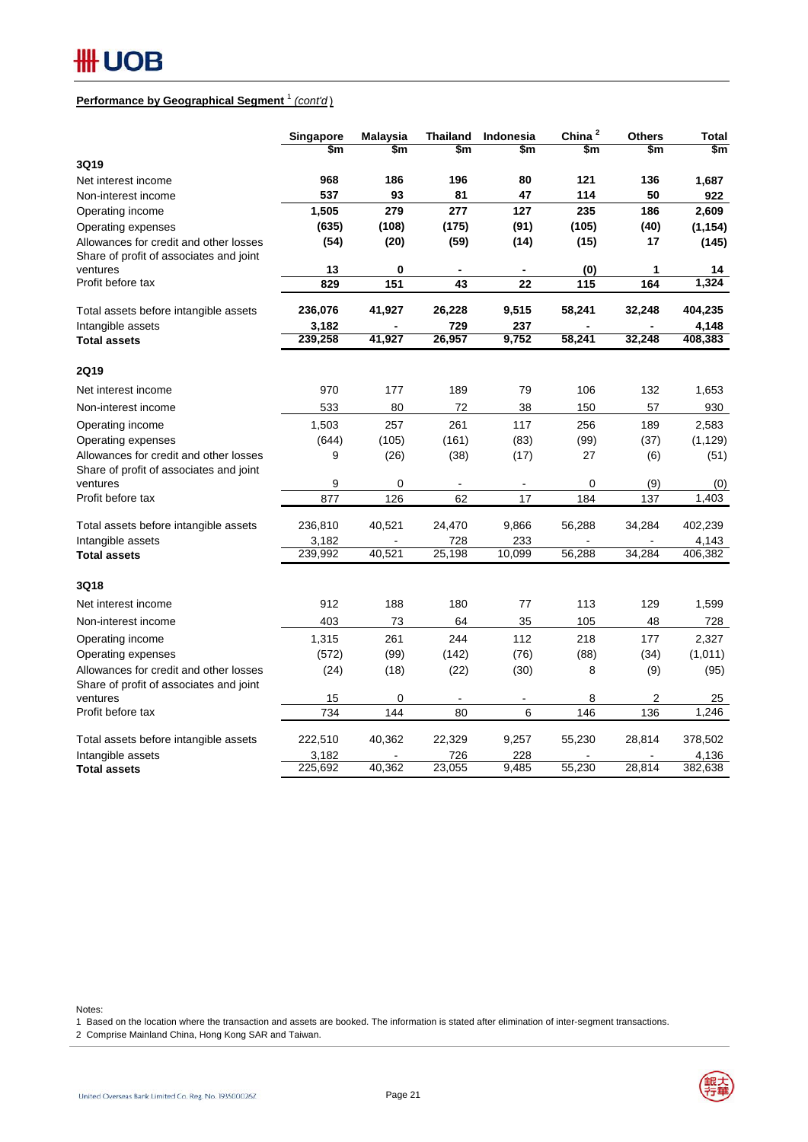## 

### **Performance by Geographical Segment** <sup>1</sup> *(cont'd* )

|                                                                                   | Singapore | <b>Malaysia</b> | <b>Thailand</b> | Indonesia                | China <sup>2</sup> | <b>Others</b> | Total    |
|-----------------------------------------------------------------------------------|-----------|-----------------|-----------------|--------------------------|--------------------|---------------|----------|
|                                                                                   | \$m       | \$m             | \$m             | \$m                      | \$m                | \$m           | \$m      |
| 3Q19                                                                              |           |                 |                 |                          |                    |               |          |
| Net interest income                                                               | 968       | 186             | 196             | 80                       | 121                | 136           | 1,687    |
| Non-interest income                                                               | 537       | 93              | 81              | 47                       | 114                | 50            | 922      |
| Operating income                                                                  | 1,505     | 279             | 277             | 127                      | 235                | 186           | 2,609    |
| Operating expenses                                                                | (635)     | (108)           | (175)           | (91)                     | (105)              | (40)          | (1, 154) |
| Allowances for credit and other losses<br>Share of profit of associates and joint | (54)      | (20)            | (59)            | (14)                     | (15)               | 17            | (145)    |
| ventures                                                                          | 13        | 0               | $\blacksquare$  | $\overline{\phantom{a}}$ | (0)                | 1             | 14       |
| Profit before tax                                                                 | 829       | 151             | 43              | 22                       | 115                | 164           | 1,324    |
| Total assets before intangible assets                                             | 236,076   | 41,927          | 26,228          | 9,515                    | 58,241             | 32,248        | 404,235  |
| Intangible assets                                                                 | 3,182     |                 | 729             | 237                      |                    |               | 4,148    |
| <b>Total assets</b>                                                               | 239,258   | 41,927          | 26,957          | 9,752                    | 58,241             | 32,248        | 408,383  |
| <b>2Q19</b>                                                                       |           |                 |                 |                          |                    |               |          |
| Net interest income                                                               | 970       | 177             | 189             | 79                       | 106                | 132           | 1,653    |
| Non-interest income                                                               | 533       | 80              | 72              | 38                       | 150                | 57            | 930      |
| Operating income                                                                  | 1,503     | 257             | 261             | 117                      | 256                | 189           | 2,583    |
| Operating expenses                                                                | (644)     | (105)           | (161)           | (83)                     | (99)               | (37)          | (1, 129) |
| Allowances for credit and other losses<br>Share of profit of associates and joint | 9         | (26)            | (38)            | (17)                     | 27                 | (6)           | (51)     |
| ventures                                                                          | 9         | 0               |                 |                          | 0                  | (9)           | (0)      |
| Profit before tax                                                                 | 877       | 126             | 62              | 17                       | 184                | 137           | 1,403    |
| Total assets before intangible assets                                             | 236,810   | 40,521          | 24,470          | 9,866                    | 56,288             | 34,284        | 402,239  |
| Intangible assets                                                                 | 3,182     |                 | 728             | 233                      |                    |               | 4,143    |
| <b>Total assets</b>                                                               | 239,992   | 40,521          | 25,198          | 10,099                   | 56,288             | 34,284        | 406,382  |
| <b>3Q18</b>                                                                       |           |                 |                 |                          |                    |               |          |
| Net interest income                                                               | 912       | 188             | 180             | 77                       | 113                | 129           | 1,599    |
| Non-interest income                                                               | 403       | 73              | 64              | 35                       | 105                | 48            | 728      |
| Operating income                                                                  | 1,315     | 261             | 244             | 112                      | 218                | 177           | 2,327    |
| Operating expenses                                                                | (572)     | (99)            | (142)           | (76)                     | (88)               | (34)          | (1,011)  |
| Allowances for credit and other losses                                            | (24)      | (18)            | (22)            | (30)                     | 8                  | (9)           | (95)     |
| Share of profit of associates and joint                                           |           |                 |                 |                          |                    |               |          |
| ventures                                                                          | 15        | $\mathbf 0$     |                 |                          | 8                  | 2             | 25       |
| Profit before tax                                                                 | 734       | 144             | 80              | 6                        | 146                | 136           | 1,246    |
| Total assets before intangible assets                                             | 222,510   | 40,362          | 22,329          | 9,257                    | 55,230             | 28,814        | 378,502  |
| Intangible assets                                                                 | 3,182     |                 | 726             | 228                      |                    |               | 4,136    |
| <b>Total assets</b>                                                               | 225,692   | 40,362          | 23,055          | 9,485                    | 55,230             | 28,814        | 382,638  |

Notes:

1 Based on the location where the transaction and assets are booked. The information is stated after elimination of inter-segment transactions.

2 Comprise Mainland China, Hong Kong SAR and Taiwan.

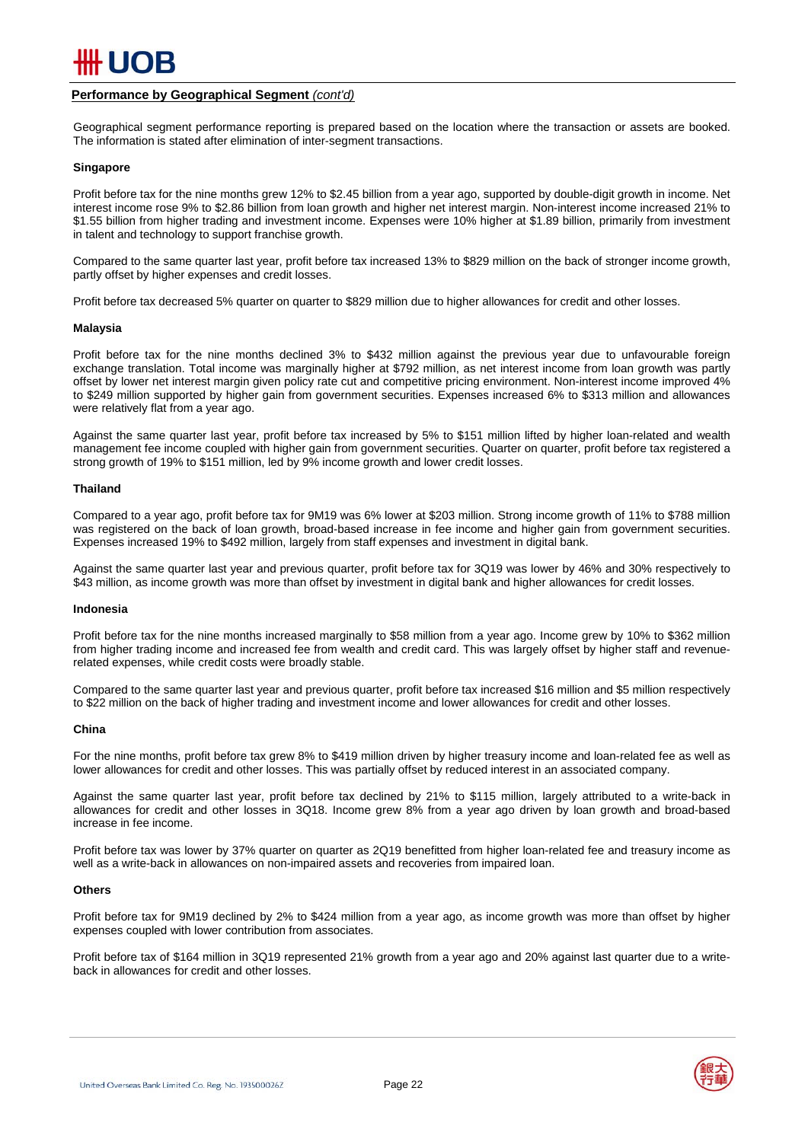

#### **Performance by Geographical Segment** *(cont'd)*

Geographical segment performance reporting is prepared based on the location where the transaction or assets are booked. The information is stated after elimination of inter-segment transactions.

#### **Singapore**

Profit before tax for the nine months grew 12% to \$2.45 billion from a year ago, supported by double-digit growth in income. Net interest income rose 9% to \$2.86 billion from loan growth and higher net interest margin. Non-interest income increased 21% to \$1.55 billion from higher trading and investment income. Expenses were 10% higher at \$1.89 billion, primarily from investment in talent and technology to support franchise growth.

Compared to the same quarter last year, profit before tax increased 13% to \$829 million on the back of stronger income growth, partly offset by higher expenses and credit losses.

Profit before tax decreased 5% quarter on quarter to \$829 million due to higher allowances for credit and other losses.

#### **Malaysia**

Profit before tax for the nine months declined 3% to \$432 million against the previous year due to unfavourable foreign exchange translation. Total income was marginally higher at \$792 million, as net interest income from loan growth was partly offset by lower net interest margin given policy rate cut and competitive pricing environment. Non-interest income improved 4% to \$249 million supported by higher gain from government securities. Expenses increased 6% to \$313 million and allowances were relatively flat from a year ago.

Against the same quarter last year, profit before tax increased by 5% to \$151 million lifted by higher loan-related and wealth management fee income coupled with higher gain from government securities. Quarter on quarter, profit before tax registered a strong growth of 19% to \$151 million, led by 9% income growth and lower credit losses.

#### **Thailand**

Compared to a year ago, profit before tax for 9M19 was 6% lower at \$203 million. Strong income growth of 11% to \$788 million was registered on the back of loan growth, broad-based increase in fee income and higher gain from government securities. Expenses increased 19% to \$492 million, largely from staff expenses and investment in digital bank.

Against the same quarter last year and previous quarter, profit before tax for 3Q19 was lower by 46% and 30% respectively to \$43 million, as income growth was more than offset by investment in digital bank and higher allowances for credit losses.

#### **Indonesia**

Profit before tax for the nine months increased marginally to \$58 million from a year ago. Income grew by 10% to \$362 million from higher trading income and increased fee from wealth and credit card. This was largely offset by higher staff and revenuerelated expenses, while credit costs were broadly stable.

Compared to the same quarter last year and previous quarter, profit before tax increased \$16 million and \$5 million respectively to \$22 million on the back of higher trading and investment income and lower allowances for credit and other losses.

#### **China**

For the nine months, profit before tax grew 8% to \$419 million driven by higher treasury income and loan-related fee as well as lower allowances for credit and other losses. This was partially offset by reduced interest in an associated company.

Against the same quarter last year, profit before tax declined by 21% to \$115 million, largely attributed to a write-back in allowances for credit and other losses in 3Q18. Income grew 8% from a year ago driven by loan growth and broad-based increase in fee income.

Profit before tax was lower by 37% quarter on quarter as 2Q19 benefitted from higher loan-related fee and treasury income as well as a write-back in allowances on non-impaired assets and recoveries from impaired loan.

#### **Others**

Profit before tax for 9M19 declined by 2% to \$424 million from a year ago, as income growth was more than offset by higher expenses coupled with lower contribution from associates.

Profit before tax of \$164 million in 3Q19 represented 21% growth from a year ago and 20% against last quarter due to a writeback in allowances for credit and other losses.

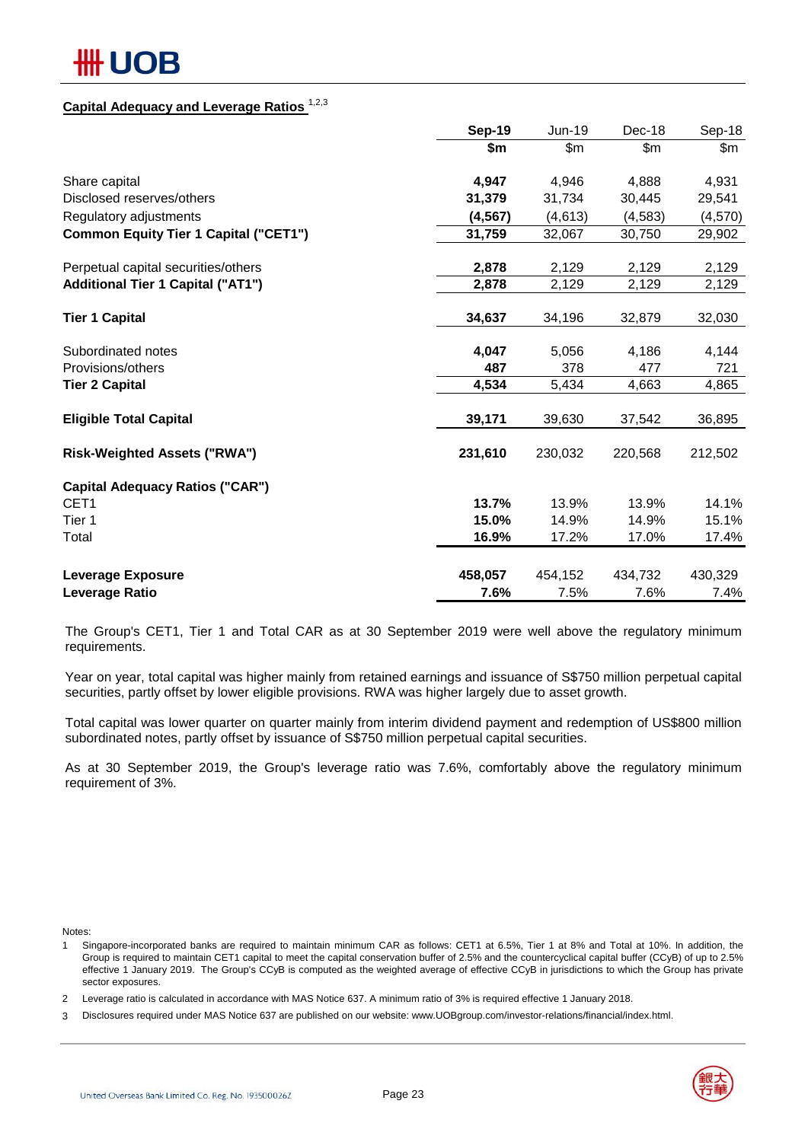## ## UOB

## **Capital Adequacy and Leverage Ratios** 1,2,3

|                                              | Sep-19   | Jun-19        | Dec-18  | Sep-18   |
|----------------------------------------------|----------|---------------|---------|----------|
|                                              | \$m      | $\mathsf{Sm}$ | \$m\$   | \$m\$    |
| Share capital                                | 4,947    | 4,946         | 4,888   | 4,931    |
| Disclosed reserves/others                    | 31,379   | 31,734        | 30,445  | 29,541   |
| Regulatory adjustments                       | (4, 567) | (4,613)       | (4,583) | (4, 570) |
| <b>Common Equity Tier 1 Capital ("CET1")</b> | 31,759   | 32,067        | 30,750  | 29,902   |
| Perpetual capital securities/others          | 2,878    | 2,129         | 2,129   | 2,129    |
| <b>Additional Tier 1 Capital ("AT1")</b>     | 2,878    | 2,129         | 2,129   | 2,129    |
| <b>Tier 1 Capital</b>                        | 34,637   | 34,196        | 32,879  | 32,030   |
| Subordinated notes                           | 4,047    | 5,056         | 4,186   | 4,144    |
| Provisions/others                            | 487      | 378           | 477     | 721      |
| <b>Tier 2 Capital</b>                        | 4,534    | 5,434         | 4,663   | 4,865    |
| <b>Eligible Total Capital</b>                | 39,171   | 39,630        | 37,542  | 36,895   |
| <b>Risk-Weighted Assets ("RWA")</b>          | 231,610  | 230,032       | 220,568 | 212,502  |
| <b>Capital Adequacy Ratios ("CAR")</b>       |          |               |         |          |
| CET <sub>1</sub>                             | 13.7%    | 13.9%         | 13.9%   | 14.1%    |
| Tier 1                                       | 15.0%    | 14.9%         | 14.9%   | 15.1%    |
| Total                                        | 16.9%    | 17.2%         | 17.0%   | 17.4%    |
| <b>Leverage Exposure</b>                     | 458,057  | 454,152       | 434,732 | 430,329  |
| Leverage Ratio                               | 7.6%     | 7.5%          | 7.6%    | 7.4%     |

The Group's CET1, Tier 1 and Total CAR as at 30 September 2019 were well above the regulatory minimum requirements.

Year on year, total capital was higher mainly from retained earnings and issuance of S\$750 million perpetual capital securities, partly offset by lower eligible provisions. RWA was higher largely due to asset growth.

Total capital was lower quarter on quarter mainly from interim dividend payment and redemption of US\$800 million subordinated notes, partly offset by issuance of S\$750 million perpetual capital securities.

As at 30 September 2019, the Group's leverage ratio was 7.6%, comfortably above the regulatory minimum requirement of 3%.

Notes:

1 Singapore-incorporated banks are required to maintain minimum CAR as follows: CET1 at 6.5%, Tier 1 at 8% and Total at 10%. In addition, the Group is required to maintain CET1 capital to meet the capital conservation buffer of 2.5% and the countercyclical capital buffer (CCyB) of up to 2.5% effective 1 January 2019. The Group's CCyB is computed as the weighted average of effective CCyB in jurisdictions to which the Group has private sector exposures.

3 Disclosures required under MAS Notice 637 are published on our website: www.UOBgroup.com/investor-relations/financial/index.html.



 $\mathcal{P}$ Leverage ratio is calculated in accordance with MAS Notice 637. A minimum ratio of 3% is required effective 1 January 2018.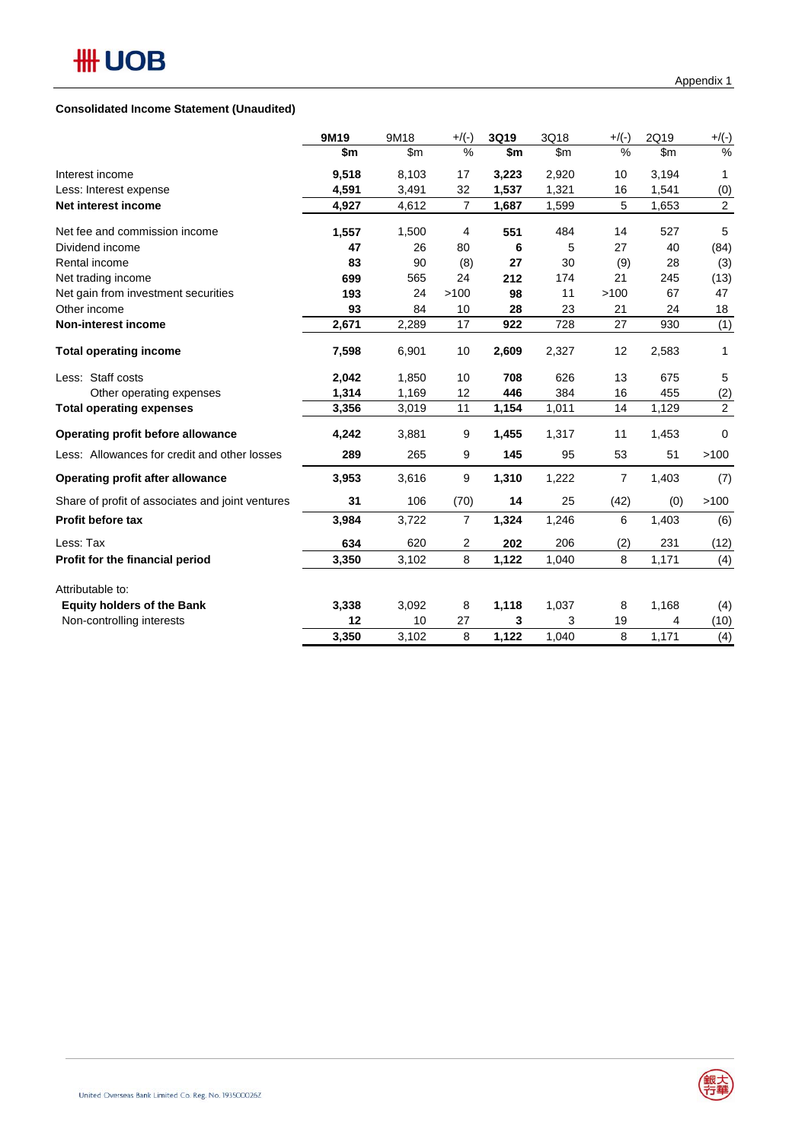### **Consolidated Income Statement (Unaudited)**

|                                                  | 9M19  | 9M18          | $+$ /(-)       | 3Q19  | 3Q18  | $+$ /(-)       | 2Q19  | $+/(-)$        |
|--------------------------------------------------|-------|---------------|----------------|-------|-------|----------------|-------|----------------|
|                                                  | \$m   | $\mathsf{Sm}$ | $\%$           | \$m   | \$m   | %              | \$m\$ | $\%$           |
| Interest income                                  | 9,518 | 8,103         | 17             | 3,223 | 2,920 | 10             | 3,194 | 1              |
| Less: Interest expense                           | 4,591 | 3,491         | 32             | 1,537 | 1,321 | 16             | 1,541 | (0)            |
| Net interest income                              | 4,927 | 4,612         | $\overline{7}$ | 1,687 | 1,599 | 5              | 1,653 | $\overline{2}$ |
| Net fee and commission income                    | 1,557 | 1,500         | $\overline{4}$ | 551   | 484   | 14             | 527   | 5              |
| Dividend income                                  | 47    | 26            | 80             | 6     | 5     | 27             | 40    | (84)           |
| Rental income                                    | 83    | 90            | (8)            | 27    | 30    | (9)            | 28    | (3)            |
| Net trading income                               | 699   | 565           | 24             | 212   | 174   | 21             | 245   | (13)           |
| Net gain from investment securities              | 193   | 24            | >100           | 98    | 11    | >100           | 67    | 47             |
| Other income                                     | 93    | 84            | 10             | 28    | 23    | 21             | 24    | 18             |
| Non-interest income                              | 2,671 | 2,289         | 17             | 922   | 728   | 27             | 930   | (1)            |
| <b>Total operating income</b>                    | 7,598 | 6,901         | 10             | 2,609 | 2,327 | 12             | 2,583 | 1              |
| Less: Staff costs                                | 2,042 | 1,850         | 10             | 708   | 626   | 13             | 675   | 5              |
| Other operating expenses                         | 1,314 | 1,169         | 12             | 446   | 384   | 16             | 455   | (2)            |
| <b>Total operating expenses</b>                  | 3,356 | 3,019         | 11             | 1,154 | 1,011 | 14             | 1,129 | $\overline{2}$ |
| Operating profit before allowance                | 4,242 | 3,881         | 9              | 1,455 | 1,317 | 11             | 1,453 | $\Omega$       |
| Less: Allowances for credit and other losses     | 289   | 265           | 9              | 145   | 95    | 53             | 51    | >100           |
| <b>Operating profit after allowance</b>          | 3,953 | 3,616         | 9              | 1,310 | 1,222 | $\overline{7}$ | 1,403 | (7)            |
| Share of profit of associates and joint ventures | 31    | 106           | (70)           | 14    | 25    | (42)           | (0)   | >100           |
| <b>Profit before tax</b>                         | 3,984 | 3,722         | $\overline{7}$ | 1,324 | 1,246 | 6              | 1,403 | (6)            |
| Less: Tax                                        | 634   | 620           | 2              | 202   | 206   | (2)            | 231   | (12)           |
| Profit for the financial period                  | 3,350 | 3,102         | 8              | 1,122 | 1,040 | 8              | 1,171 | (4)            |
| Attributable to:                                 |       |               |                |       |       |                |       |                |
| <b>Equity holders of the Bank</b>                | 3,338 | 3,092         | 8              | 1,118 | 1,037 | 8              | 1,168 | (4)            |
| Non-controlling interests                        | 12    | 10            | 27             | 3     | 3     | 19             | 4     | (10)           |
|                                                  | 3,350 | 3,102         | 8              | 1,122 | 1,040 | 8              | 1,171 | (4)            |

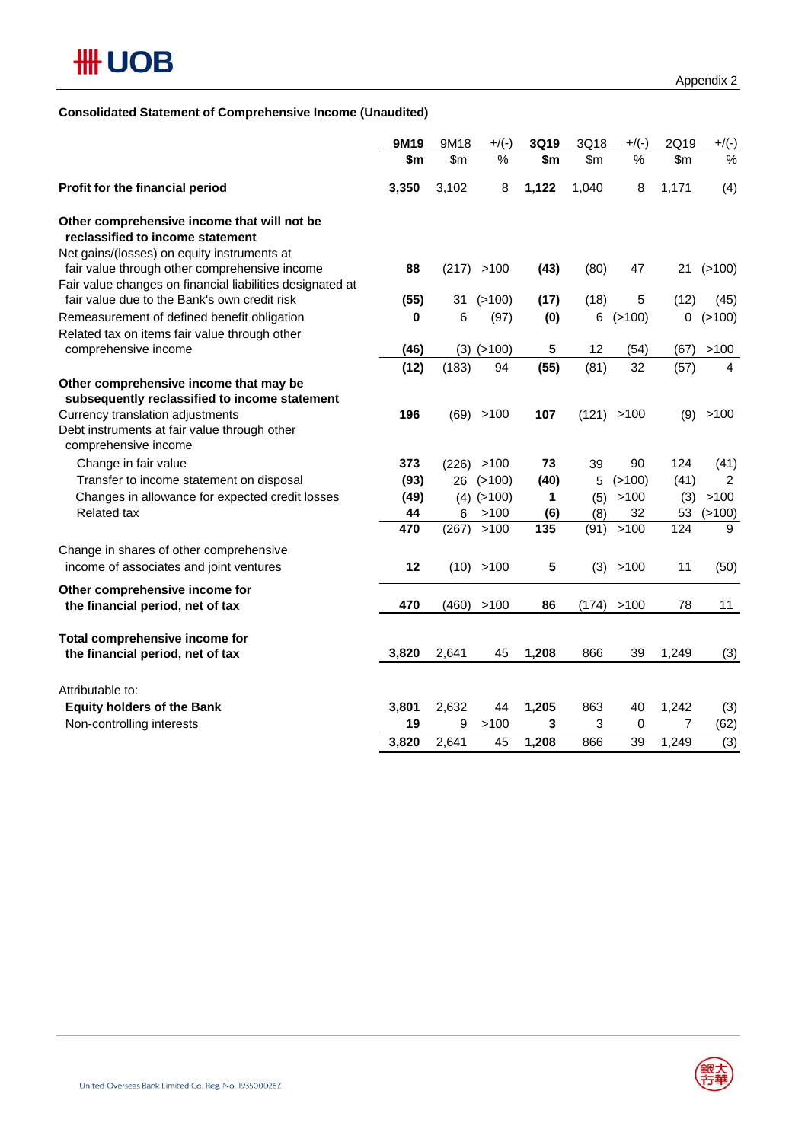## **Consolidated Statement of Comprehensive Income (Unaudited)**

|                                                                                                                                | 9M19  | 9M18  | $+$ /(-)       | 3Q19  | 3Q18  | $+$ /(-)  | 2Q19  | $+/(-)$        |
|--------------------------------------------------------------------------------------------------------------------------------|-------|-------|----------------|-------|-------|-----------|-------|----------------|
|                                                                                                                                | \$m   | \$m\$ | %              | \$m   | \$m\$ | %         | \$m\$ | %              |
| Profit for the financial period                                                                                                | 3,350 | 3,102 | 8              | 1,122 | 1,040 | 8         | 1,171 | (4)            |
| Other comprehensive income that will not be<br>reclassified to income statement<br>Net gains/(losses) on equity instruments at |       |       |                |       |       |           |       |                |
| fair value through other comprehensive income<br>Fair value changes on financial liabilities designated at                     | 88    | (217) | >100           | (43)  | (80)  | 47        | 21    | (>100)         |
| fair value due to the Bank's own credit risk                                                                                   | (55)  | 31    | (>100)         | (17)  | (18)  | 5         | (12)  | (45)           |
| Remeasurement of defined benefit obligation                                                                                    | 0     | 6     | (97)           | (0)   | 6     | (>100)    | 0     | (>100)         |
| Related tax on items fair value through other                                                                                  |       |       |                |       |       |           |       |                |
| comprehensive income                                                                                                           | (46)  |       | $(3)$ $(>100)$ | 5     | 12    | (54)      | (67)  | >100           |
|                                                                                                                                | (12)  | (183) | 94             | (55)  | (81)  | 32        | (57)  | 4              |
| Other comprehensive income that may be                                                                                         |       |       |                |       |       |           |       |                |
| subsequently reclassified to income statement                                                                                  |       |       |                |       |       |           |       |                |
| Currency translation adjustments                                                                                               | 196   |       | (69) > 100     | 107   | (121) | >100      | (9)   | >100           |
| Debt instruments at fair value through other<br>comprehensive income                                                           |       |       |                |       |       |           |       |                |
| Change in fair value                                                                                                           | 373   | (226) | >100           | 73    | 39    | 90        | 124   | (41)           |
| Transfer to income statement on disposal                                                                                       | (93)  | 26    | (>100)         | (40)  | 5     | (>100)    | (41)  | $\overline{2}$ |
| Changes in allowance for expected credit losses                                                                                | (49)  | (4)   | (>100)         | 1     | (5)   | >100      | (3)   | >100           |
| <b>Related tax</b>                                                                                                             | 44    | 6     | >100           | (6)   | (8)   | 32        | 53    | (>100)         |
|                                                                                                                                | 470   | (267) | >100           | 135   | (91)  | >100      | 124   | 9              |
| Change in shares of other comprehensive                                                                                        |       |       |                |       |       |           |       |                |
| income of associates and joint ventures                                                                                        | 12    |       | (10) > 100     | 5     |       | (3) > 100 | 11    | (50)           |
| Other comprehensive income for                                                                                                 |       |       |                |       |       |           |       |                |
| the financial period, net of tax                                                                                               | 470   | (460) | >100           | 86    | (174) | >100      | 78    | 11             |
| Total comprehensive income for                                                                                                 |       |       |                |       |       |           |       |                |
| the financial period, net of tax                                                                                               | 3,820 | 2,641 | 45             | 1,208 | 866   | 39        | 1,249 | (3)            |
|                                                                                                                                |       |       |                |       |       |           |       |                |
| Attributable to:                                                                                                               |       |       |                |       |       |           |       |                |
| <b>Equity holders of the Bank</b>                                                                                              | 3,801 | 2,632 | 44             | 1,205 | 863   | 40        | 1,242 | (3)            |
| Non-controlling interests                                                                                                      | 19    | 9     | >100           | 3     | 3     | 0         | 7     | (62)           |
|                                                                                                                                | 3,820 | 2,641 | 45             | 1,208 | 866   | 39        | 1,249 | (3)            |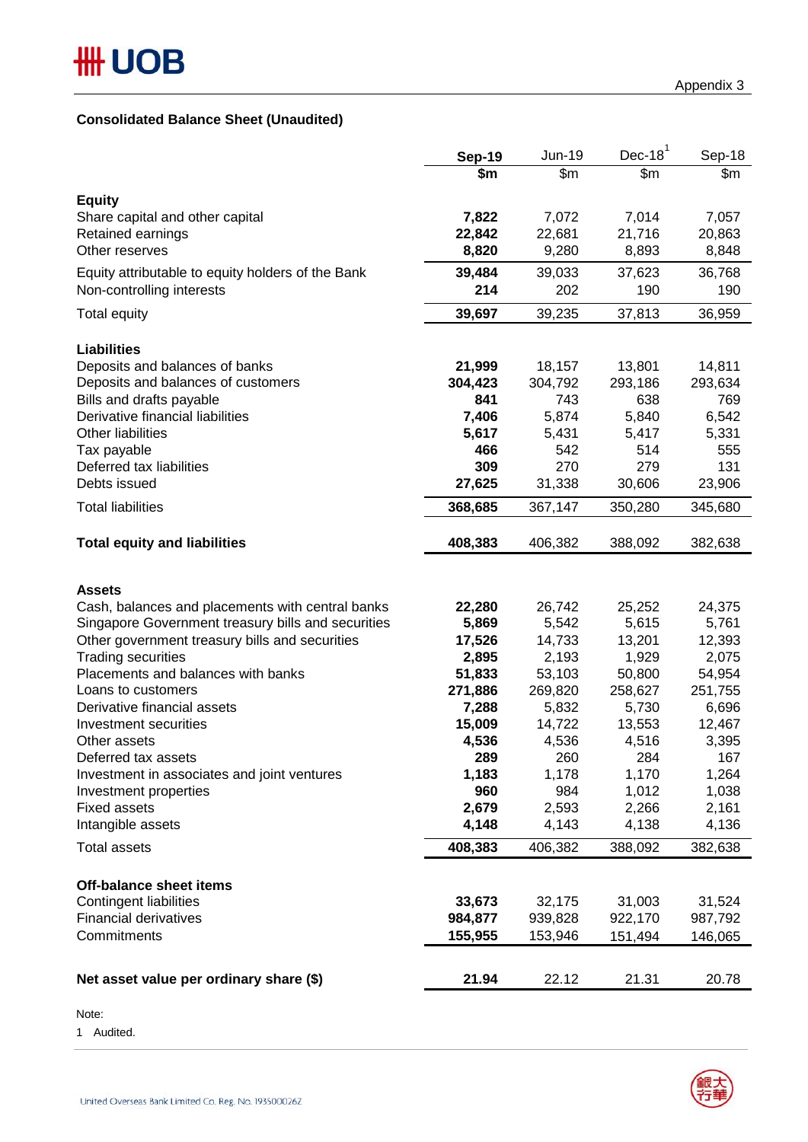## **Consolidated Balance Sheet (Unaudited)**

|                                                                      | <b>Sep-19</b>      | Jun-19<br>$\overline{\$m}$ | Dec-18 $1$         | Sep-18             |
|----------------------------------------------------------------------|--------------------|----------------------------|--------------------|--------------------|
|                                                                      | \$m                |                            | \$m                | \$m                |
| <b>Equity</b>                                                        |                    |                            |                    |                    |
| Share capital and other capital                                      | 7,822              | 7,072                      | 7,014              | 7,057              |
| Retained earnings                                                    | 22,842             | 22,681                     | 21,716             | 20,863             |
| Other reserves                                                       | 8,820              | 9,280                      | 8,893              | 8,848              |
| Equity attributable to equity holders of the Bank                    | 39,484             | 39,033                     | 37,623             | 36,768             |
| Non-controlling interests                                            | 214                | 202                        | 190                | 190                |
| Total equity                                                         | 39,697             | 39,235                     | 37,813             | 36,959             |
| <b>Liabilities</b>                                                   |                    |                            |                    |                    |
| Deposits and balances of banks                                       | 21,999             | 18,157                     | 13,801             | 14,811             |
| Deposits and balances of customers                                   | 304,423            | 304,792                    | 293,186            | 293,634            |
| Bills and drafts payable                                             | 841                | 743                        | 638                | 769                |
| Derivative financial liabilities                                     | 7,406              | 5,874                      | 5,840              | 6,542              |
| <b>Other liabilities</b>                                             | 5,617              | 5,431                      | 5,417              | 5,331              |
| Tax payable                                                          | 466                | 542                        | 514                | 555                |
| Deferred tax liabilities                                             | 309                | 270                        | 279                | 131                |
| Debts issued                                                         | 27,625             | 31,338                     | 30,606             | 23,906             |
| <b>Total liabilities</b>                                             | 368,685            | 367,147                    | 350,280            | 345,680            |
| <b>Total equity and liabilities</b>                                  | 408,383            | 406,382                    | 388,092            | 382,638            |
| <b>Assets</b>                                                        |                    |                            |                    |                    |
| Cash, balances and placements with central banks                     | 22,280             | 26,742                     | 25,252             | 24,375             |
| Singapore Government treasury bills and securities                   | 5,869              | 5,542                      | 5,615              | 5,761              |
| Other government treasury bills and securities                       | 17,526             | 14,733                     | 13,201             | 12,393             |
| <b>Trading securities</b>                                            | 2,895              | 2,193                      | 1,929              | 2,075              |
| Placements and balances with banks                                   | 51,833             | 53,103                     | 50,800             | 54,954             |
| Loans to customers                                                   | 271,886            | 269,820                    | 258,627            | 251,755            |
| Derivative financial assets                                          | 7,288              | 5,832                      | 5,730              | 6,696              |
| Investment securities                                                | 15,009             | 14,722                     | 13,553             | 12,467             |
| Other assets<br>Deferred tax assets                                  | 4,536<br>289       | 4,536                      | 4,516              | 3,395              |
|                                                                      |                    | 260<br>1,178               | 284                | 167                |
| Investment in associates and joint ventures<br>Investment properties | 1,183<br>960       | 984                        | 1,170<br>1,012     | 1,264<br>1,038     |
| <b>Fixed assets</b>                                                  | 2,679              | 2,593                      | 2,266              | 2,161              |
| Intangible assets                                                    | 4,148              | 4,143                      | 4,138              | 4,136              |
|                                                                      |                    |                            |                    |                    |
| <b>Total assets</b>                                                  | 408,383            | 406,382                    | 388,092            | 382,638            |
| Off-balance sheet items                                              |                    |                            |                    |                    |
| <b>Contingent liabilities</b>                                        | 33,673             | 32,175                     | 31,003             | 31,524             |
| <b>Financial derivatives</b><br>Commitments                          | 984,877<br>155,955 | 939,828<br>153,946         | 922,170<br>151,494 | 987,792<br>146,065 |
|                                                                      |                    |                            |                    |                    |
| Net asset value per ordinary share (\$)                              | 21.94              | 22.12                      | 21.31              | 20.78              |
|                                                                      |                    |                            |                    |                    |

Note:

1 Audited.

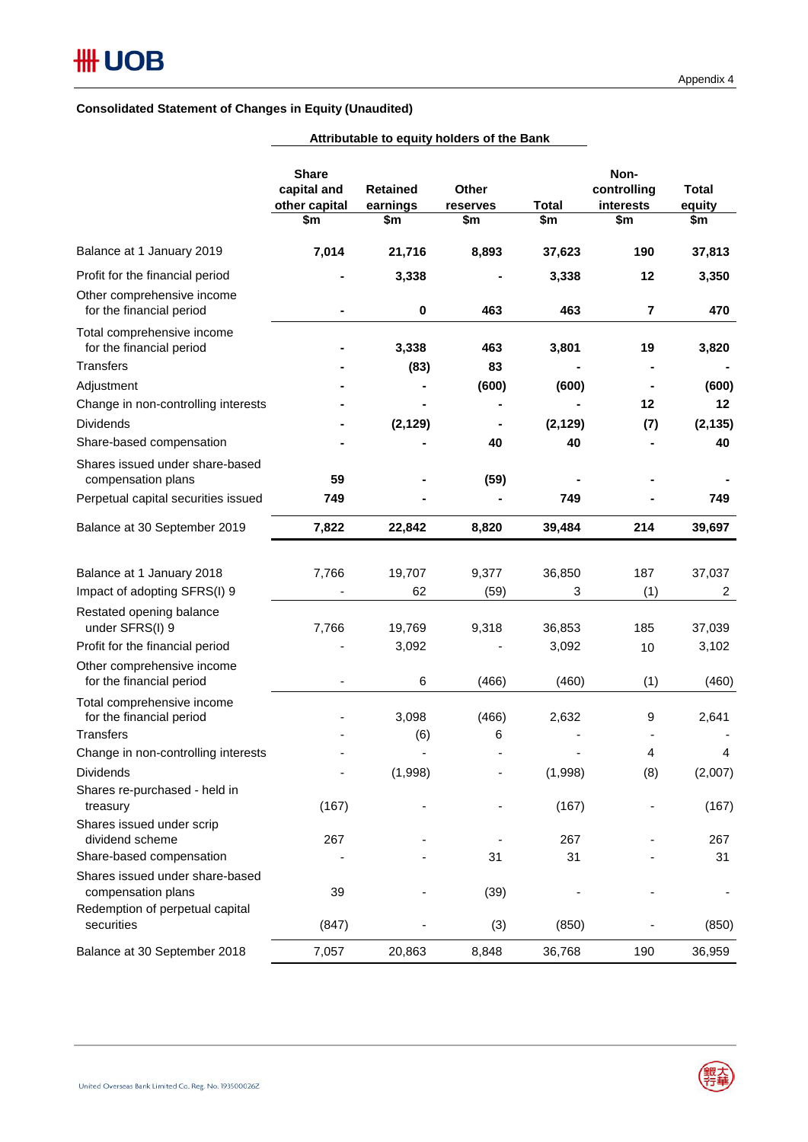|                                                        | <b>Share</b><br>capital and<br>other capital<br>\$m | <b>Retained</b><br>earnings<br>\$m | Other<br>reserves<br>\$m | <b>Total</b><br>\$m | Non-<br>controlling<br>interests<br>\$m | <b>Total</b><br>equity<br>\$m |
|--------------------------------------------------------|-----------------------------------------------------|------------------------------------|--------------------------|---------------------|-----------------------------------------|-------------------------------|
|                                                        |                                                     |                                    |                          |                     |                                         |                               |
| Balance at 1 January 2019                              | 7,014                                               | 21,716                             | 8,893                    | 37,623              | 190                                     | 37,813                        |
| Profit for the financial period                        |                                                     | 3,338                              |                          | 3,338               | 12                                      | 3,350                         |
| Other comprehensive income<br>for the financial period |                                                     | $\bf{0}$                           | 463                      | 463                 | $\overline{7}$                          | 470                           |
| Total comprehensive income<br>for the financial period |                                                     | 3,338                              | 463                      | 3,801               | 19                                      | 3,820                         |
| <b>Transfers</b>                                       |                                                     | (83)                               | 83                       |                     |                                         |                               |
| Adjustment                                             |                                                     |                                    | (600)                    | (600)               |                                         | (600)                         |
| Change in non-controlling interests                    |                                                     |                                    |                          |                     | 12                                      | 12                            |
| <b>Dividends</b>                                       |                                                     | (2, 129)                           |                          | (2, 129)            | (7)                                     | (2, 135)                      |
| Share-based compensation                               |                                                     |                                    | 40                       | 40                  |                                         | 40                            |
| Shares issued under share-based<br>compensation plans  | 59                                                  |                                    | (59)                     |                     |                                         |                               |
| Perpetual capital securities issued                    | 749                                                 |                                    |                          | 749                 |                                         | 749                           |
| Balance at 30 September 2019                           | 7,822                                               | 22,842                             | 8,820                    | 39,484              | 214                                     | 39,697                        |
| Balance at 1 January 2018                              | 7,766                                               | 19,707                             | 9,377                    | 36,850              | 187                                     | 37,037                        |
| Impact of adopting SFRS(I) 9                           |                                                     | 62                                 | (59)                     | 3                   | (1)                                     | 2                             |
| Restated opening balance<br>under SFRS(I) 9            | 7,766                                               | 19,769                             | 9,318                    | 36,853              | 185                                     | 37,039                        |
| Profit for the financial period                        |                                                     | 3,092                              |                          | 3,092               | 10                                      | 3,102                         |
| Other comprehensive income<br>for the financial period |                                                     | 6                                  | (466)                    | (460)               | (1)                                     | (460)                         |
| Total comprehensive income<br>for the financial period |                                                     | 3,098                              | (466)                    | 2,632               | 9                                       | 2,641                         |
| <b>Transfers</b>                                       |                                                     | (6)                                | 6                        |                     |                                         |                               |
| Change in non-controlling interests                    |                                                     |                                    |                          |                     | 4                                       | 4                             |

Dividends - (1,998) - (1,998) (8) (2,007)

treasury (167) - - (167) - (167)

dividend scheme  $267$  - 267 - 267 - 267 - 267

compensation plans and the set of 39 and 39 and 39 and 39 and 39 and 39 and 39 and 39 and 39 and 39 and 39 and 39 and 39 and 39 and 39 and 39 and 39 and 39 and 39 and 39 and 39 and 39 and 39 and 39 and 39 and 39 and 39 and

securities (847) - (3) (850) - (850) Balance at 30 September 2018 7,057 20,863 8,848 36,768 190 36,959

- - 31 31 - 31

**Attributable to equity holders of the Bank**

Shares re-purchased - held in

Shares issued under share-based

Redemption of perpetual capital

Shares issued under scrip

Share-based compensation



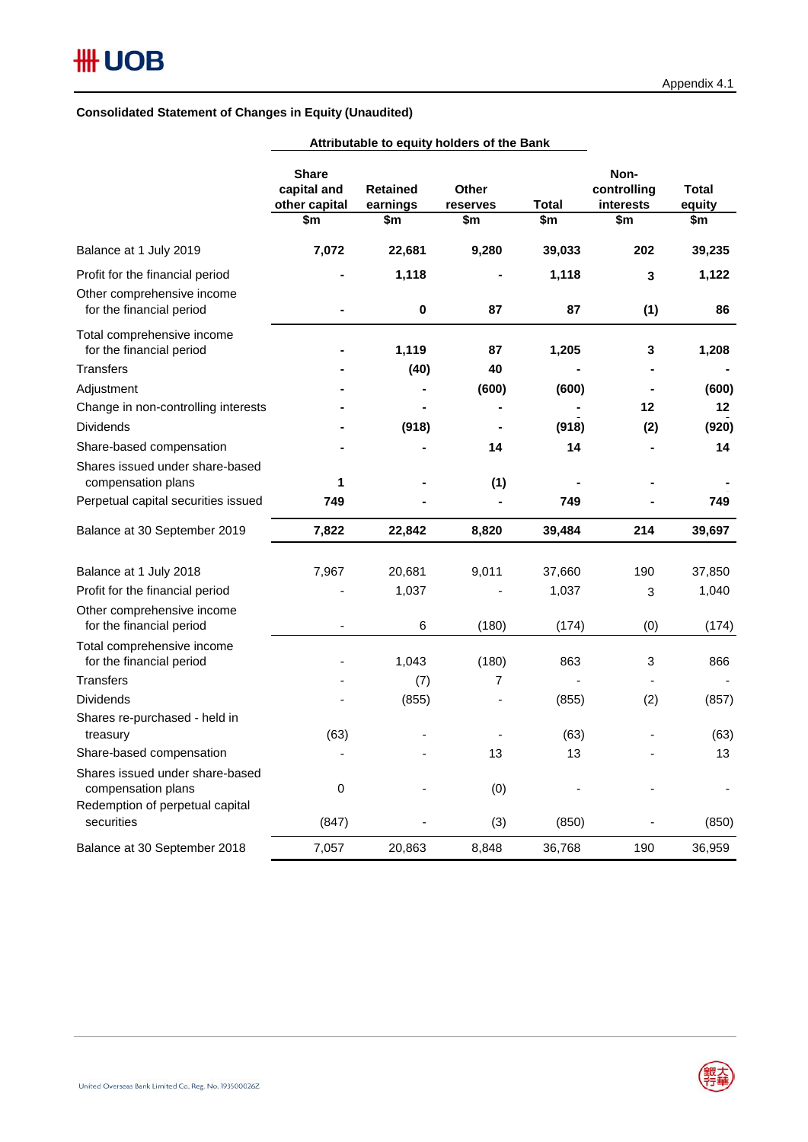|                                                        | Attributable to equity holders of the Bank          |                                    |                                 |                     |                                         |                               |
|--------------------------------------------------------|-----------------------------------------------------|------------------------------------|---------------------------------|---------------------|-----------------------------------------|-------------------------------|
|                                                        | <b>Share</b><br>capital and<br>other capital<br>\$m | <b>Retained</b><br>earnings<br>\$m | <b>Other</b><br>reserves<br>\$m | <b>Total</b><br>\$m | Non-<br>controlling<br>interests<br>\$m | <b>Total</b><br>equity<br>\$m |
| Balance at 1 July 2019                                 | 7,072                                               | 22,681                             | 9,280                           | 39,033              | 202                                     | 39,235                        |
| Profit for the financial period                        |                                                     | 1,118                              |                                 | 1,118               | 3                                       | 1,122                         |
| Other comprehensive income<br>for the financial period |                                                     | $\pmb{0}$                          | 87                              | 87                  | (1)                                     | 86                            |
| Total comprehensive income<br>for the financial period |                                                     | 1,119                              | 87                              | 1,205               | 3                                       | 1,208                         |
| Transfers                                              |                                                     | (40)                               | 40                              |                     |                                         |                               |
| Adjustment                                             |                                                     |                                    | (600)                           | (600)               |                                         | (600)                         |
| Change in non-controlling interests                    |                                                     |                                    |                                 |                     | 12                                      | 12                            |
| <b>Dividends</b>                                       |                                                     | (918)                              |                                 | (918)               | (2)                                     | (920)                         |
| Share-based compensation                               |                                                     |                                    | 14                              | 14                  |                                         | 14                            |
| Shares issued under share-based<br>compensation plans  | 1                                                   |                                    | (1)                             |                     |                                         |                               |
| Perpetual capital securities issued                    | 749                                                 |                                    |                                 | 749                 |                                         | 749                           |
| Balance at 30 September 2019                           | 7,822                                               | 22,842                             | 8,820                           | 39,484              | 214                                     | 39,697                        |
| Balance at 1 July 2018                                 | 7,967                                               | 20,681                             | 9,011                           | 37,660              | 190                                     | 37,850                        |
| Profit for the financial period                        |                                                     | 1,037                              |                                 | 1,037               | 3                                       | 1,040                         |
| Other comprehensive income<br>for the financial period | $\overline{\phantom{a}}$                            | 6                                  | (180)                           | (174)               | (0)                                     | (174)                         |
| Total comprehensive income<br>for the financial period |                                                     | 1,043                              | (180)                           | 863                 | 3                                       | 866                           |
| <b>Transfers</b>                                       |                                                     | (7)                                | 7                               |                     |                                         |                               |
| <b>Dividends</b>                                       |                                                     | (855)                              |                                 | (855)               | (2)                                     | (857)                         |
| Shares re-purchased - held in<br>treasury              | (63)                                                |                                    |                                 | (63)                |                                         | (63)                          |
| Share-based compensation                               |                                                     |                                    | 13                              | 13                  |                                         | 13                            |
| Shares issued under share-based<br>compensation plans  | 0                                                   |                                    | (0)                             |                     |                                         |                               |
| Redemption of perpetual capital<br>securities          | (847)                                               |                                    | (3)                             | (850)               |                                         | (850)                         |
| Balance at 30 September 2018                           | 7,057                                               | 20,863                             | 8,848                           | 36,768              | 190                                     | 36,959                        |

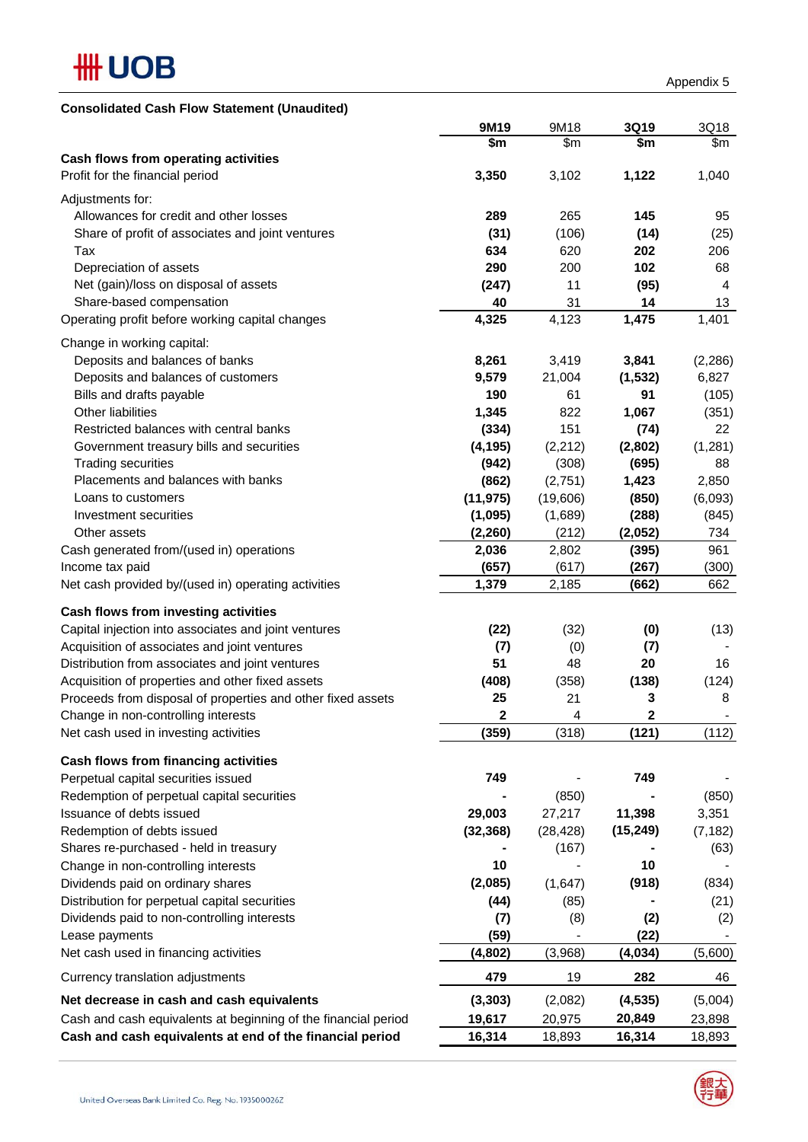

| <b>Consolidated Cash Flow Statement (Unaudited)</b>                   |                |           |           |                |
|-----------------------------------------------------------------------|----------------|-----------|-----------|----------------|
|                                                                       | 9M19           | 9M18      | 3Q19      | 3Q18           |
|                                                                       | \$m            | \$m\$     | \$m       | \$m            |
| Cash flows from operating activities                                  |                |           |           |                |
| Profit for the financial period                                       | 3,350          | 3,102     | 1,122     | 1,040          |
| Adjustments for:                                                      |                |           |           |                |
| Allowances for credit and other losses                                | 289            | 265       | 145       | 95             |
| Share of profit of associates and joint ventures                      | (31)           | (106)     | (14)      | (25)           |
| Tax                                                                   | 634            | 620       | 202       | 206            |
| Depreciation of assets                                                | 290            | 200       | 102       | 68             |
| Net (gain)/loss on disposal of assets                                 | (247)          | 11        | (95)      | $\overline{4}$ |
| Share-based compensation                                              | 40             | 31        | 14        | 13             |
| Operating profit before working capital changes                       | 4,325          | 4,123     | 1,475     | 1,401          |
| Change in working capital:                                            |                |           |           |                |
| Deposits and balances of banks                                        | 8,261          | 3,419     | 3,841     | (2, 286)       |
| Deposits and balances of customers                                    | 9,579          | 21,004    | (1, 532)  | 6,827          |
| Bills and drafts payable                                              | 190            | 61        | 91        | (105)          |
| <b>Other liabilities</b>                                              | 1,345          | 822       | 1,067     |                |
|                                                                       |                | 151       |           | (351)          |
| Restricted balances with central banks                                | (334)          |           | (74)      | 22             |
| Government treasury bills and securities<br><b>Trading securities</b> | (4, 195)       | (2, 212)  | (2,802)   | (1, 281)<br>88 |
| Placements and balances with banks                                    | (942)<br>(862) | (308)     | (695)     |                |
| Loans to customers                                                    |                | (2,751)   | 1,423     | 2,850          |
|                                                                       | (11, 975)      | (19,606)  | (850)     | (6,093)        |
| Investment securities                                                 | (1,095)        | (1,689)   | (288)     | (845)          |
| Other assets                                                          | (2, 260)       | (212)     | (2,052)   | 734            |
| Cash generated from/(used in) operations                              | 2,036          | 2,802     | (395)     | 961            |
| Income tax paid                                                       | (657)          | (617)     | (267)     | (300)          |
| Net cash provided by/(used in) operating activities                   | 1,379          | 2,185     | (662)     | 662            |
| Cash flows from investing activities                                  |                |           |           |                |
| Capital injection into associates and joint ventures                  | (22)           | (32)      | (0)       | (13)           |
| Acquisition of associates and joint ventures                          | (7)            | (0)       | (7)       |                |
| Distribution from associates and joint ventures                       | 51             | 48        | 20        | 16             |
| Acquisition of properties and other fixed assets                      | (408)          | (358)     | (138)     | (124)          |
| Proceeds from disposal of properties and other fixed assets           | 25             | 21        | 3         | 8              |
| Change in non-controlling interests                                   | 2              | 4         | $\bf 2$   |                |
| Net cash used in investing activities                                 | (359)          | (318)     | (121)     | (112)          |
|                                                                       |                |           |           |                |
| Cash flows from financing activities                                  |                |           |           |                |
| Perpetual capital securities issued                                   | 749            |           | 749       |                |
| Redemption of perpetual capital securities                            |                | (850)     |           | (850)          |
| Issuance of debts issued                                              | 29,003         | 27,217    | 11,398    | 3,351          |
| Redemption of debts issued                                            | (32, 368)      | (28, 428) | (15, 249) | (7, 182)       |
| Shares re-purchased - held in treasury                                |                | (167)     |           | (63)           |
| Change in non-controlling interests                                   | 10             |           | 10        |                |
| Dividends paid on ordinary shares                                     | (2,085)        | (1,647)   | (918)     | (834)          |
| Distribution for perpetual capital securities                         | (44)           | (85)      |           | (21)           |
| Dividends paid to non-controlling interests                           | (7)            | (8)       | (2)       | (2)            |
| Lease payments                                                        | (59)           |           | (22)      |                |
| Net cash used in financing activities                                 | (4, 802)       | (3,968)   | (4,034)   | (5,600)        |
| Currency translation adjustments                                      | 479            | 19        | 282       | 46             |
| Net decrease in cash and cash equivalents                             | (3, 303)       | (2,082)   | (4, 535)  | (5,004)        |
| Cash and cash equivalents at beginning of the financial period        | 19,617         | 20,975    | 20,849    | 23,898         |
| Cash and cash equivalents at end of the financial period              | 16,314         | 18,893    | 16,314    | 18,893         |

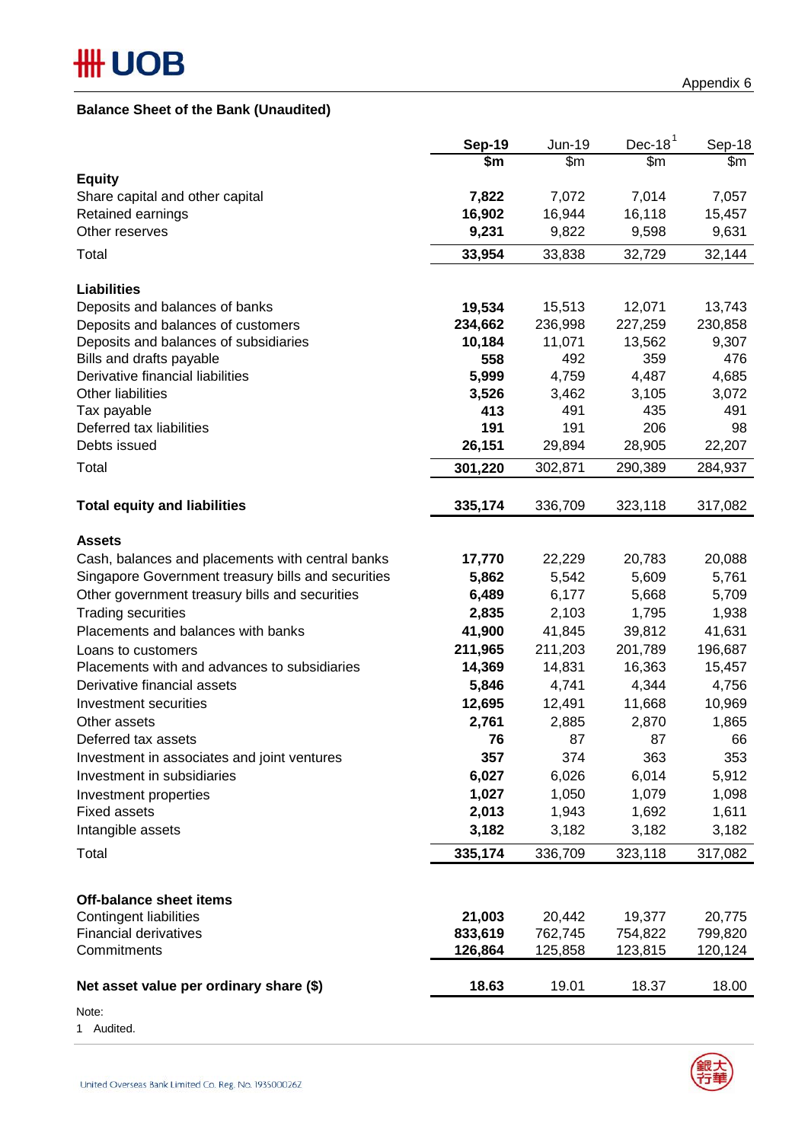## **Balance Sheet of the Bank (Unaudited)**

|                                                    | <b>Sep-19</b>   | Jun-19          | Dec-18 $1$      | Sep-18          |
|----------------------------------------------------|-----------------|-----------------|-----------------|-----------------|
|                                                    | \$m             | \$m             | \$m\$           | \$m             |
| <b>Equity</b>                                      |                 |                 |                 |                 |
| Share capital and other capital                    | 7,822           | 7,072           | 7,014           | 7,057           |
| Retained earnings<br>Other reserves                | 16,902<br>9,231 | 16,944<br>9,822 | 16,118<br>9,598 | 15,457<br>9,631 |
|                                                    |                 |                 |                 |                 |
| Total                                              | 33,954          | 33,838          | 32,729          | 32,144          |
| <b>Liabilities</b>                                 |                 |                 |                 |                 |
| Deposits and balances of banks                     | 19,534          | 15,513          | 12,071          | 13,743          |
| Deposits and balances of customers                 | 234,662         | 236,998         | 227,259         | 230,858         |
| Deposits and balances of subsidiaries              | 10,184          | 11,071          | 13,562          | 9,307           |
| Bills and drafts payable                           | 558             | 492             | 359             | 476             |
| Derivative financial liabilities                   | 5,999           | 4,759           | 4,487           | 4,685           |
| Other liabilities                                  | 3,526           | 3,462           | 3,105           | 3,072           |
| Tax payable                                        | 413             | 491             | 435             | 491             |
| Deferred tax liabilities                           | 191             | 191             | 206             | 98              |
| Debts issued                                       | 26,151          | 29,894          | 28,905          | 22,207          |
| Total                                              | 301,220         | 302,871         | 290,389         | 284,937         |
| <b>Total equity and liabilities</b>                | 335,174         | 336,709         | 323,118         | 317,082         |
| <b>Assets</b>                                      |                 |                 |                 |                 |
| Cash, balances and placements with central banks   | 17,770          | 22,229          | 20,783          | 20,088          |
| Singapore Government treasury bills and securities | 5,862           | 5,542           | 5,609           | 5,761           |
| Other government treasury bills and securities     | 6,489           | 6,177           | 5,668           | 5,709           |
| <b>Trading securities</b>                          | 2,835           | 2,103           | 1,795           | 1,938           |
| Placements and balances with banks                 | 41,900          | 41,845          | 39,812          | 41,631          |
| Loans to customers                                 | 211,965         | 211,203         | 201,789         | 196,687         |
| Placements with and advances to subsidiaries       | 14,369          | 14,831          | 16,363          | 15,457          |
| Derivative financial assets                        | 5,846           | 4,741           | 4,344           | 4,756           |
| Investment securities                              | 12,695          | 12,491          | 11,668          | 10,969          |
| Other assets                                       | 2,761           | 2,885           | 2,870           | 1,865           |
| Deferred tax assets                                | 76              | 87              | 87              | 66              |
| Investment in associates and joint ventures        | 357             | 374             | 363             | 353             |
| Investment in subsidiaries                         | 6,027           | 6,026           | 6,014           | 5,912           |
| Investment properties                              | 1,027           | 1,050           | 1,079           | 1,098           |
| <b>Fixed assets</b>                                | 2,013           | 1,943           | 1,692           | 1,611           |
| Intangible assets                                  | 3,182           | 3,182           | 3,182           | 3,182           |
| Total                                              | 335,174         | 336,709         | 323,118         | 317,082         |
|                                                    |                 |                 |                 |                 |
| <b>Off-balance sheet items</b>                     |                 |                 |                 |                 |
| <b>Contingent liabilities</b>                      | 21,003          | 20,442          | 19,377          | 20,775          |
| <b>Financial derivatives</b>                       | 833,619         | 762,745         | 754,822         | 799,820         |
| Commitments                                        | 126,864         | 125,858         | 123,815         | 120,124         |
| Net asset value per ordinary share (\$)            | 18.63           | 19.01           | 18.37           | 18.00           |

Note:

1 Audited.



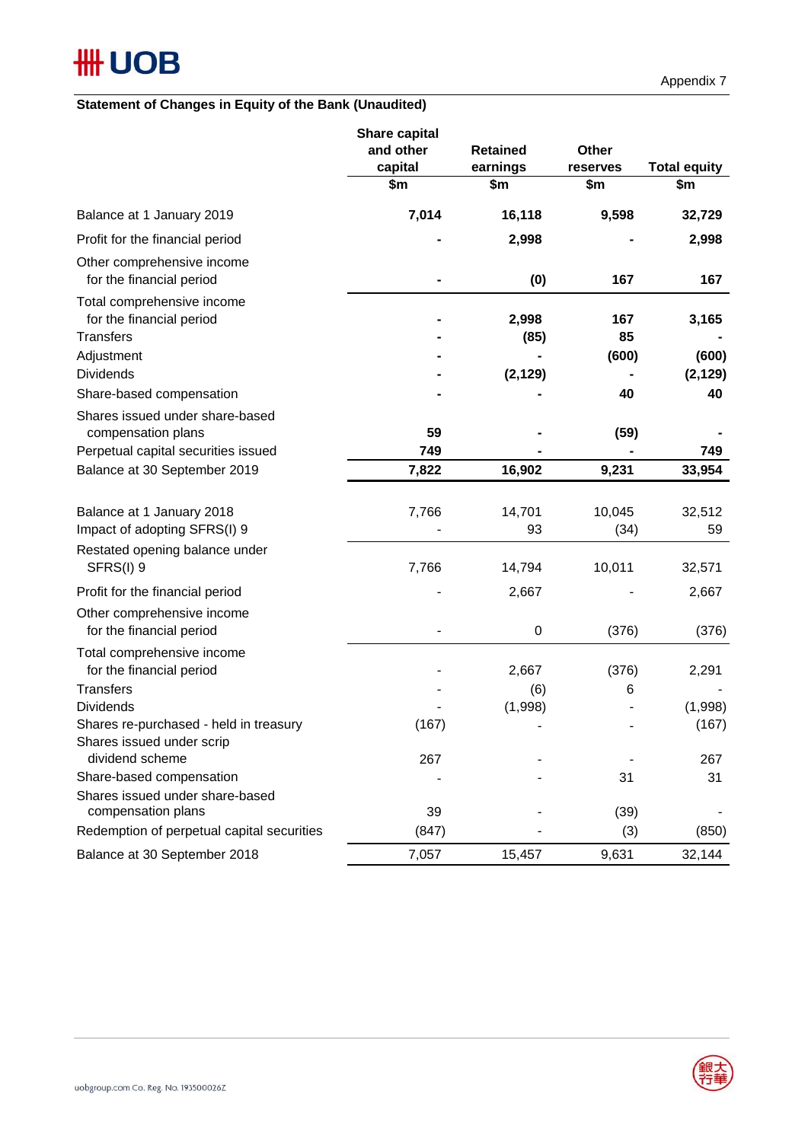## **Statement of Changes in Equity of the Bank (Unaudited)**

|                                                                                                          | <b>Share capital</b><br>and other<br>capital<br>\$m | <b>Retained</b><br>earnings<br>\$m | Other<br>reserves<br>\$m | <b>Total equity</b><br>\$m |
|----------------------------------------------------------------------------------------------------------|-----------------------------------------------------|------------------------------------|--------------------------|----------------------------|
| Balance at 1 January 2019                                                                                | 7,014                                               | 16,118                             | 9,598                    | 32,729                     |
| Profit for the financial period                                                                          |                                                     | 2,998                              |                          | 2,998                      |
| Other comprehensive income<br>for the financial period                                                   |                                                     | (0)                                | 167                      | 167                        |
| Total comprehensive income<br>for the financial period                                                   |                                                     | 2,998                              | 167                      | 3,165                      |
| <b>Transfers</b>                                                                                         |                                                     | (85)                               | 85                       |                            |
| Adjustment<br><b>Dividends</b>                                                                           |                                                     | (2, 129)                           | (600)                    | (600)<br>(2, 129)          |
| Share-based compensation                                                                                 |                                                     |                                    | 40                       | 40                         |
| Shares issued under share-based<br>compensation plans                                                    | 59                                                  |                                    | (59)                     |                            |
| Perpetual capital securities issued                                                                      | 749                                                 |                                    |                          | 749                        |
| Balance at 30 September 2019                                                                             | 7,822                                               | 16,902                             | 9,231                    | 33,954                     |
| Balance at 1 January 2018<br>Impact of adopting SFRS(I) 9<br>Restated opening balance under<br>SFRS(I) 9 | 7,766<br>7,766                                      | 14,701<br>93<br>14,794             | 10,045<br>(34)<br>10,011 | 32,512<br>59<br>32,571     |
| Profit for the financial period                                                                          |                                                     | 2,667                              |                          | 2,667                      |
| Other comprehensive income<br>for the financial period                                                   |                                                     | 0                                  | (376)                    | (376)                      |
| Total comprehensive income<br>for the financial period                                                   |                                                     | 2,667                              | (376)                    | 2,291                      |
| <b>Transfers</b>                                                                                         |                                                     | (6)                                | 6                        |                            |
| <b>Dividends</b><br>Shares re-purchased - held in treasury<br>Shares issued under scrip                  | (167)                                               | (1,998)                            |                          | (1,998)<br>(167)           |
| dividend scheme                                                                                          | 267                                                 |                                    |                          | 267                        |
| Share-based compensation                                                                                 |                                                     |                                    | 31                       | 31                         |
| Shares issued under share-based<br>compensation plans                                                    | 39                                                  |                                    | (39)                     |                            |
| Redemption of perpetual capital securities                                                               | (847)                                               |                                    | (3)                      | (850)                      |
| Balance at 30 September 2018                                                                             | 7,057                                               | 15,457                             | 9,631                    | 32,144                     |